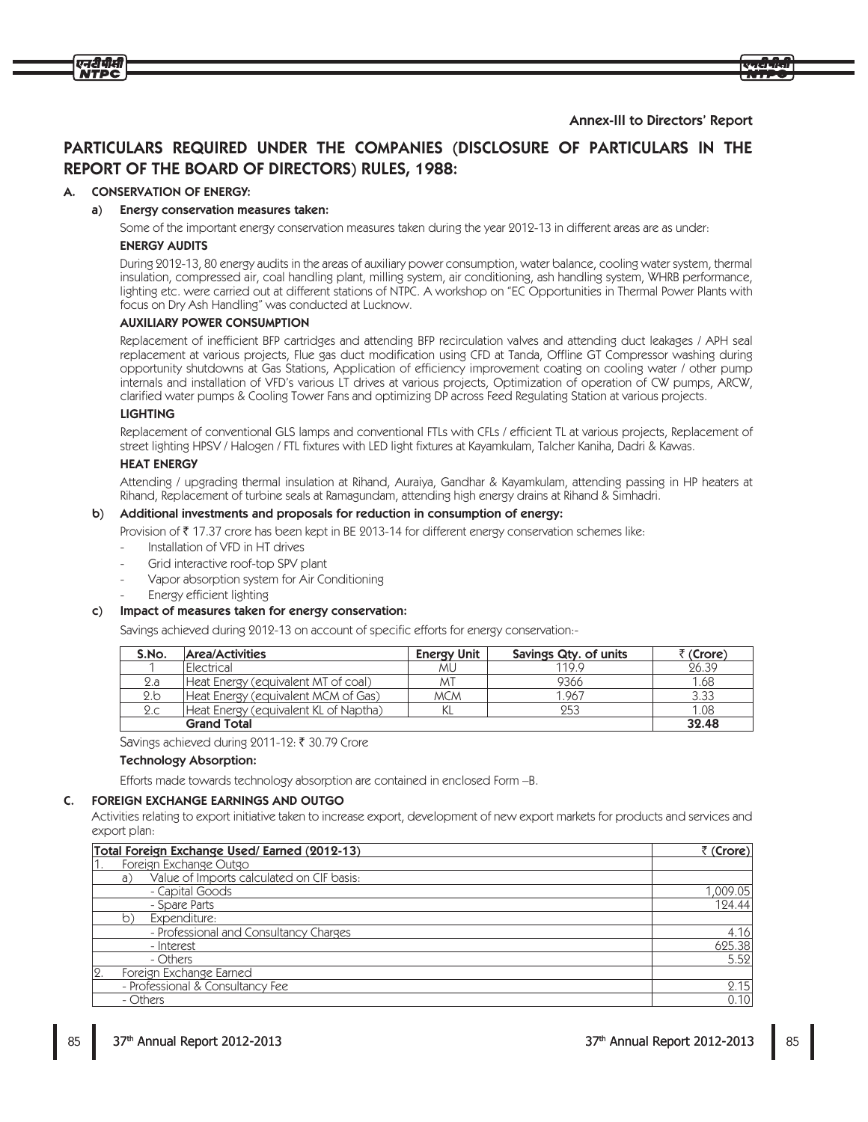### **Annex-III to Directors' Report**

# PARTICULARS REQUIRED UNDER THE COMPANIES (DISCLOSURE OF PARTICULARS IN THE **REPORT OF THE BOARD OF DIRECTORS) RULES, 1988:**

#### **CONSERVATION OF ENERGY:** А.

एनटीपीसी

#### a) Energy conservation measures taken:

Some of the important energy conservation measures taken during the year 2012-13 in different areas are as under: **ENERGY AUDITS** 

During 2012-13, 80 energy audits in the areas of auxiliary power consumption, water balance, cooling water system, thermal insulation, compressed air, coal handling plant, milling system, air conditioning, ash handling system, WHRB performance, lighting etc. were carried out at different stations of NTPC. A workshop on "EC Opportunities in Thermal Power Plants with focus on Dry Ash Handling" was conducted at Lucknow.

#### **AUXILIARY POWER CONSUMPTION**

Replacement of inefficient BFP cartridges and attending BFP recirculation valves and attending duct leakages / APH seal replacement at various projects, Flue gas duct modification using CFD at Tanda, Offline GT Compressor washing during opportunity shutdowns at Gas Stations, Application of efficiency improvement coating on cooling water / other pump internals and installation of VFD's various LT drives at various projects, Optimization of operation of CW pumps, ARCW, clarified water pumps & Cooling Tower Fans and optimizing DP across Feed Regulating Station at various projects.

#### **LIGHTING**

Replacement of conventional GLS lamps and conventional FTLs with CFLs / efficient TL at various projects, Replacement of street lighting HPSV / Halogen / FTL fixtures with LED light fixtures at Kayamkulam, Talcher Kaniha, Dadri & Kawas.

#### **HEAT ENERGY**

Attending / upgrading thermal insulation at Rihand, Auraiya, Gandhar & Kayamkulam, attending passing in HP heaters at Rihand, Replacement of turbine seals at Ramagundam, attending high energy drains at Rihand & Simhadri.

#### b) Additional investments and proposals for reduction in consumption of energy:

- Provision of ₹ 17.37 crore has been kept in BE 2013-14 for different energy conservation schemes like:
- Installation of VFD in HT drives
- Grid interactive roof-top SPV plant
- Vapor absorption system for Air Conditioning
- Energy efficient lighting

#### Impact of measures taken for energy conservation:  $\mathsf{C}$

Savings achieved during 2012-13 on account of specific efforts for energy conservation:-

| S.No. | Area/Activities                       | <b>Energy Unit</b> | Savings Qty. of units | र (Crore) |
|-------|---------------------------------------|--------------------|-----------------------|-----------|
|       | <i><b>IElectrical</b></i>             | <b>MU</b>          | 119.9                 | 26.39     |
| 2.a   | Heat Energy (equivalent MT of coal)   | ΜĪ                 | 9366                  | 1.68      |
| 2.b   | Heat Energy (equivalent MCM of Gas)   | <b>MCM</b>         | 1.967                 | 3.33      |
| 2.c   | Heat Energy (equivalent KL of Naptha) | KL                 | 253                   | 1.08      |
|       | <b>Grand Total</b>                    |                    |                       | 32.48     |

Savings achieved during 2011-12: ₹ 30.79 Crore

#### **Technology Absorption:**

Efforts made towards technology absorption are contained in enclosed Form -B.

#### C. FOREIGN EXCHANGE EARNINGS AND OUTGO

Activities relating to export initiative taken to increase export, development of new export markets for products and services and export plan:

| Total Foreign Exchange Used/Earned (2012-13)    | ₹ (Crore) |
|-------------------------------------------------|-----------|
| Foreign Exchange Outgo                          |           |
| Value of Imports calculated on CIF basis:<br>a) |           |
| - Capital Goods                                 | 1,009.05  |
| - Spare Parts                                   | 124.44    |
| Expenditure:<br>b)                              |           |
| - Professional and Consultancy Charges          | 4.16      |
| - Interest                                      | 625.38    |
| - Others                                        | 5.52      |
| 2.<br>Foreign Exchange Earned                   |           |
| - Professional & Consultancy Fee                | 2.15      |
| - Others                                        | 0.10      |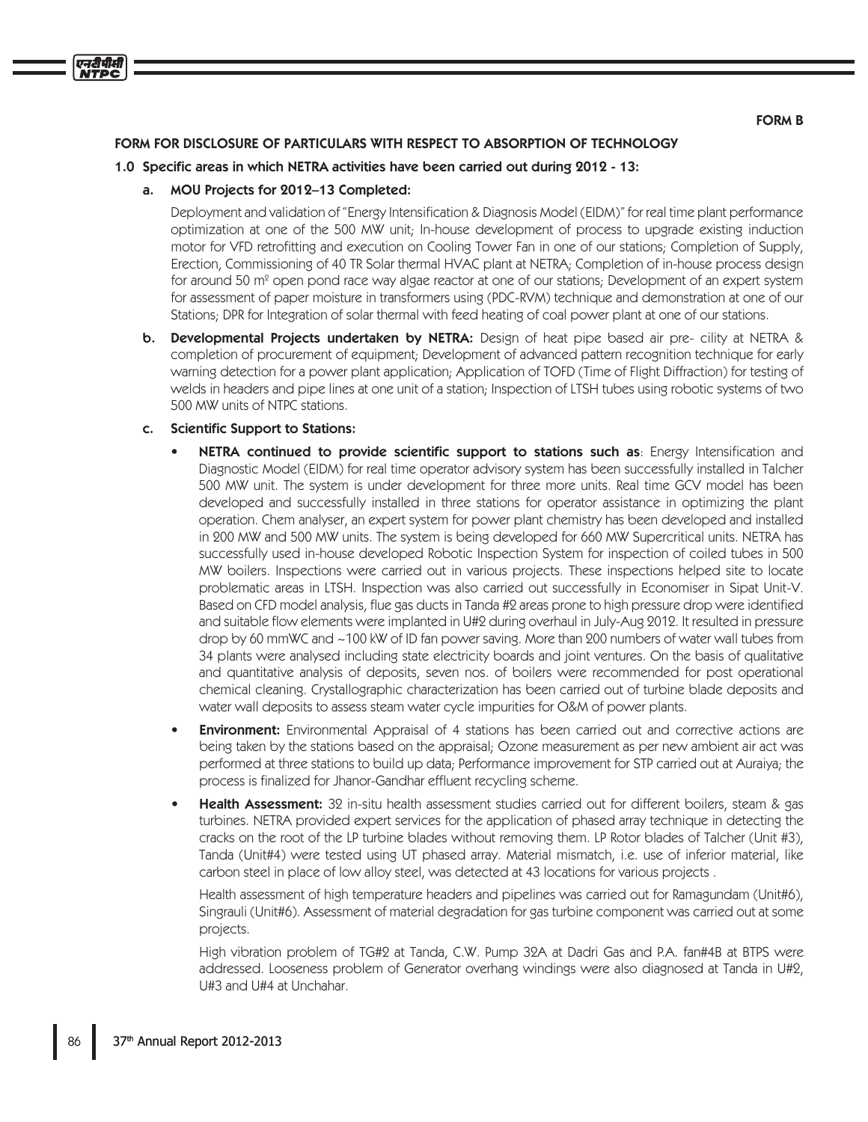#### **FORM B**

## FORM FOR DISCLOSURE OF PARTICULARS WITH RESPECT TO ABSORPTION OF TECHNOLOGY

#### 1.0 Specific areas in which NETRA activities have been carried out during 2012 - 13:

#### MOU Projects for 2012–13 Completed: a.

एनटीपीसी

Deployment and validation of "Energy Intensification & Diagnosis Model (EIDM)" for real time plant performance optimization at one of the 500 MW unit; In-house development of process to upgrade existing induction motor for VFD retrofitting and execution on Cooling Tower Fan in one of our stations; Completion of Supply, Erection, Commissioning of 40 TR Solar thermal HVAC plant at NETRA; Completion of in-house process design for around 50 m<sup>2</sup> open pond race way algae reactor at one of our stations; Development of an expert system for assessment of paper moisture in transformers using (PDC-RVM) technique and demonstration at one of our Stations; DPR for Integration of solar thermal with feed heating of coal power plant at one of our stations.

**b.** Developmental Projects undertaken by NETRA: Design of heat pipe based air pre- cility at NETRA & completion of procurement of equipment; Development of advanced pattern recognition technique for early warning detection for a power plant application; Application of TOFD (Time of Flight Diffraction) for testing of welds in headers and pipe lines at one unit of a station; Inspection of LTSH tubes using robotic systems of two 500 MW units of NTPC stations.

#### **Scientific Support to Stations:** C.

- NETRA continued to provide scientific support to stations such as: Energy Intensification and Diagnostic Model (EIDM) for real time operator advisory system has been successfully installed in Talcher 500 MW unit. The system is under development for three more units. Real time GCV model has been developed and successfully installed in three stations for operator assistance in optimizing the plant operation. Chem analyser, an expert system for power plant chemistry has been developed and installed in 200 MW and 500 MW units. The system is being developed for 660 MW Supercritical units. NETRA has successfully used in-house developed Robotic Inspection System for inspection of coiled tubes in 500 MW boilers. Inspections were carried out in various projects. These inspections helped site to locate problematic areas in LTSH. Inspection was also carried out successfully in Economiser in Sipat Unit-V. Based on CFD model analysis, flue gas ducts in Tanda #2 areas prone to high pressure drop were identified and suitable flow elements were implanted in U#2 during overhaul in July-Aug 2012. It resulted in pressure drop by 60 mmWC and ~100 kW of ID fan power saving. More than 200 numbers of water wall tubes from 34 plants were analysed including state electricity boards and joint ventures. On the basis of qualitative and quantitative analysis of deposits, seven nos. of boilers were recommended for post operational chemical cleaning. Crystallographic characterization has been carried out of turbine blade deposits and water wall deposits to assess steam water cycle impurities for O&M of power plants.
- **Environment:** Environmental Appraisal of 4 stations has been carried out and corrective actions are being taken by the stations based on the appraisal; Ozone measurement as per new ambient air act was performed at three stations to build up data; Performance improvement for STP carried out at Auraiya; the process is finalized for Jhanor-Gandhar effluent recycling scheme.
- Health Assessment: 32 in-situ health assessment studies carried out for different boilers, steam & gas turbines. NETRA provided expert services for the application of phased array technique in detecting the cracks on the root of the LP turbine blades without removing them. LP Rotor blades of Talcher (Unit #3), Tanda (Unit#4) were tested using UT phased array. Material mismatch, i.e. use of inferior material, like carbon steel in place of low alloy steel, was detected at 43 locations for various projects.

Health assessment of high temperature headers and pipelines was carried out for Ramagundam (Unit#6), Singrauli (Unit#6). Assessment of material degradation for gas turbine component was carried out at some projects.

High vibration problem of TG#2 at Tanda, C.W. Pump 32A at Dadri Gas and P.A. fan#4B at BTPS were addressed. Looseness problem of Generator overhang windings were also diagnosed at Tanda in U#2, U#3 and U#4 at Unchahar.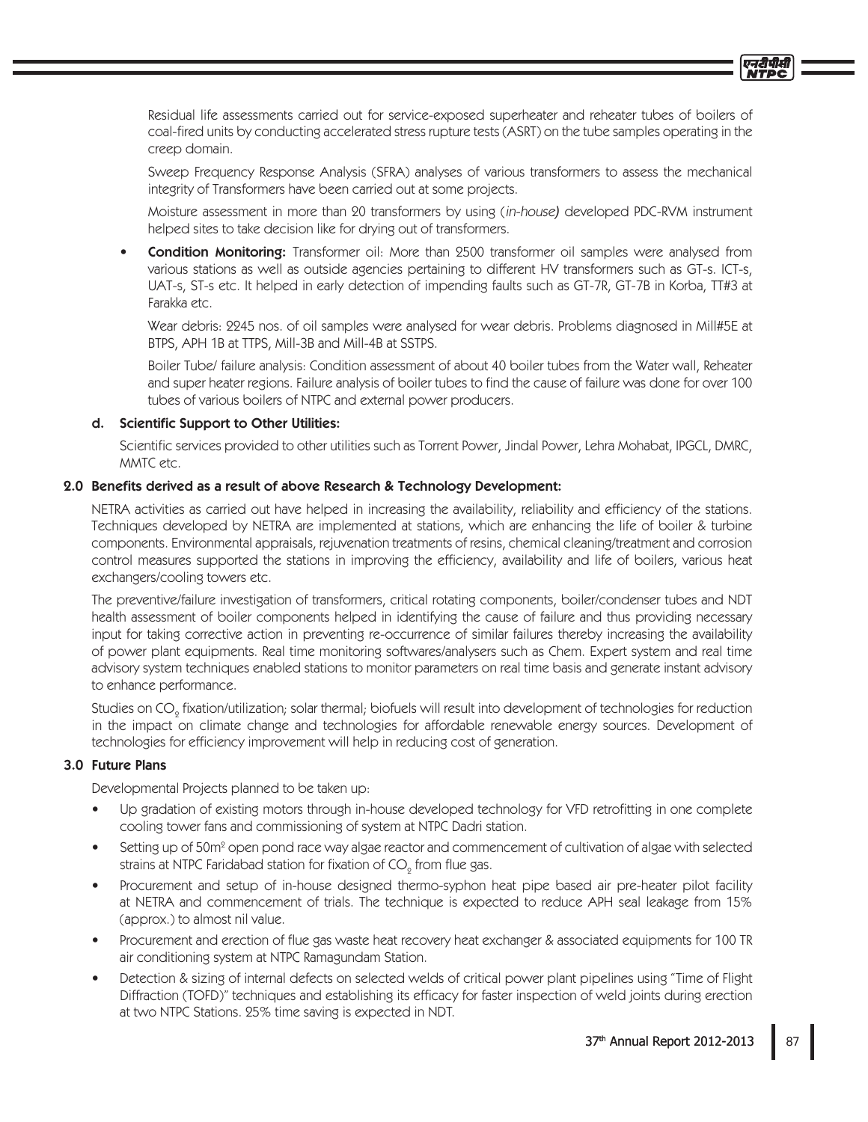Residual life assessments carried out for service-exposed superheater and reheater tubes of boilers of coal-fired units by conducting accelerated stress rupture tests (ASRT) on the tube samples operating in the creep domain.

Sweep Frequency Response Analysis (SFRA) analyses of various transformers to assess the mechanical integrity of Transformers have been carried out at some projects.

Moisture assessment in more than 20 transformers by using (in-house) developed PDC-RVM instrument helped sites to take decision like for drying out of transformers.

**Condition Monitoring:** Transformer oil: More than 2500 transformer oil samples were analysed from various stations as well as outside agencies pertaining to different HV transformers such as GT-s. ICT-s, UAT-s, ST-s etc. It helped in early detection of impending faults such as GT-7R, GT-7B in Korba, TT#3 at Farakka etc.

Wear debris: 2245 nos. of oil samples were analysed for wear debris. Problems diagnosed in Mill#5E at BTPS, APH 1B at TTPS, Mill-3B and Mill-4B at SSTPS.

Boiler Tube/ failure analysis: Condition assessment of about 40 boiler tubes from the Water wall, Reheater and super heater regions. Failure analysis of boiler tubes to find the cause of failure was done for over 100 tubes of various boilers of NTPC and external power producers.

## d. Scientific Support to Other Utilities:

Scientific services provided to other utilities such as Torrent Power, Jindal Power, Lehra Mohabat, IPGCL, DMRC, MMTC etc.

## 2.0 Benefits derived as a result of above Research & Technology Development:

NETRA activities as carried out have helped in increasing the availability, reliability and efficiency of the stations. Techniques developed by NETRA are implemented at stations, which are enhancing the life of boiler & turbine components. Environmental appraisals, rejuvenation treatments of resins, chemical cleaning/treatment and corrosion control measures supported the stations in improving the efficiency, availability and life of boilers, various heat exchangers/cooling towers etc.

The preventive/failure investigation of transformers, critical rotating components, boiler/condenser tubes and NDT health assessment of boiler components helped in identifying the cause of failure and thus providing necessary input for taking corrective action in preventing re-occurrence of similar failures thereby increasing the availability of power plant equipments. Real time monitoring softwares/analysers such as Chem. Expert system and real time advisory system techniques enabled stations to monitor parameters on real time basis and generate instant advisory to enhance performance.

Studies on CO<sub>o</sub> fixation/utilization; solar thermal; biofuels will result into development of technologies for reduction in the impact on climate change and technologies for affordable renewable energy sources. Development of technologies for efficiency improvement will help in reducing cost of generation.

# 3.0 Future Plans

Developmental Projects planned to be taken up:

- Up gradation of existing motors through in-house developed technology for VFD retrofitting in one complete cooling tower fans and commissioning of system at NTPC Dadri station.
- Setting up of 50m<sup>°</sup> open pond race way algae reactor and commencement of cultivation of algae with selected strains at NTPC Faridabad station for fixation of  $CO<sub>o</sub>$  from flue gas.
- Procurement and setup of in-house designed thermo-syphon heat pipe based air pre-heater pilot facility at NETRA and commencement of trials. The technique is expected to reduce APH seal leakage from 15% (approx.) to almost nil value.
- Procurement and erection of flue gas waste heat recovery heat exchanger & associated equipments for 100 TR air conditioning system at NTPC Ramagundam Station.
- Detection & sizing of internal defects on selected welds of critical power plant pipelines using "Time of Flight Diffraction (TOFD)" techniques and establishing its efficacy for faster inspection of weld joints during erection at two NTPC Stations. 25% time saving is expected in NDT.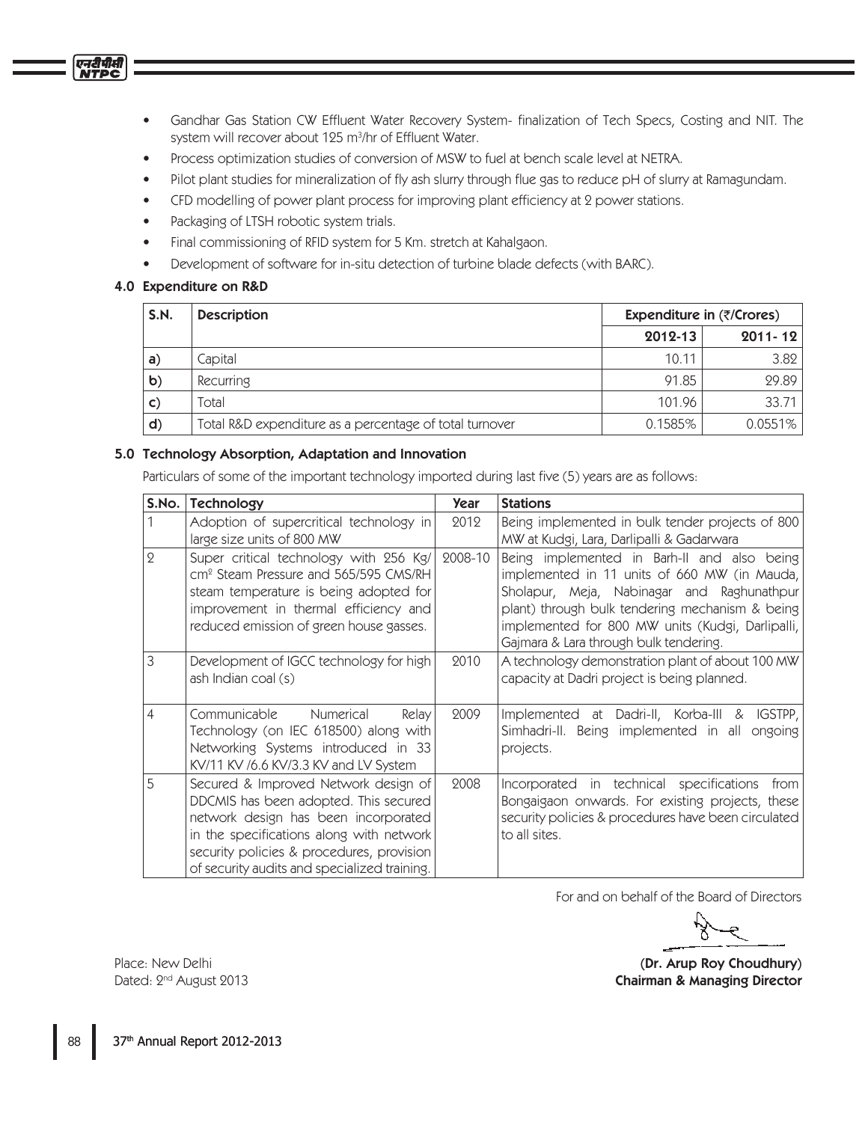- Gandhar Gas Station CW Effluent Water Recovery System- finalization of Tech Specs, Costing and NIT. The  $\bullet$ system will recover about 125 m<sup>3</sup>/hr of Effluent Water.
- Process optimization studies of conversion of MSW to fuel at bench scale level at NETRA.
- Pilot plant studies for mineralization of fly ash slurry through flue gas to reduce pH of slurry at Ramagundam.
- CFD modelling of power plant process for improving plant efficiency at 2 power stations.
- Packaging of LTSH robotic system trials.
- Final commissioning of RFID system for 5 Km. stretch at Kahalgaon.
- Development of software for in-situ detection of turbine blade defects (with BARC).  $\bullet$

# 4.0 Expenditure on R&D

| S.N.          | <b>Description</b>                                      | Expenditure in $(\overline{\zeta}/\zeta)$ |             |  |
|---------------|---------------------------------------------------------|-------------------------------------------|-------------|--|
|               |                                                         | 2012-13                                   | $2011 - 12$ |  |
| $\mathsf{a}$  | Capital                                                 | 10.11                                     | 3.82        |  |
| $\mathbf b)$  | Recurring                                               | 91.85                                     | 29.89       |  |
| $\mathsf{C})$ | Total                                                   | 101.96                                    | 33.71       |  |
| $\mathsf{d}$  | Total R&D expenditure as a percentage of total turnover | 0.1585%                                   | 0.0551%     |  |

## 5.0 Technology Absorption, Adaptation and Innovation

Particulars of some of the important technology imported during last five (5) years are as follows:

| S.No.        | Technology                                                                                                                                                                                                                                                     | Year    | <b>Stations</b>                                                                                                                                                                                                                                                                            |
|--------------|----------------------------------------------------------------------------------------------------------------------------------------------------------------------------------------------------------------------------------------------------------------|---------|--------------------------------------------------------------------------------------------------------------------------------------------------------------------------------------------------------------------------------------------------------------------------------------------|
|              | Adoption of supercritical technology in<br>large size units of 800 MW                                                                                                                                                                                          | 2012    | Being implemented in bulk tender projects of 800<br>MW at Kudgi, Lara, Darlipalli & Gadarwara                                                                                                                                                                                              |
| $\mathbf{Q}$ | Super critical technology with 256 Kg/<br>cm <sup>2</sup> Steam Pressure and 565/595 CMS/RH<br>steam temperature is being adopted for<br>improvement in thermal efficiency and<br>reduced emission of green house gasses.                                      | 2008-10 | Being implemented in Barh-II and also being<br>implemented in 11 units of 660 MW (in Mauda,<br>Sholapur, Meja, Nabinagar and Raghunathpur<br>plant) through bulk tendering mechanism & being<br>implemented for 800 MW units (Kudgi, Darlipalli,<br>Gajmara & Lara through bulk tendering. |
| 3            | Development of IGCC technology for high<br>ash Indian coal (s)                                                                                                                                                                                                 | 2010    | A technology demonstration plant of about 100 MW<br>capacity at Dadri project is being planned.                                                                                                                                                                                            |
| 4            | Communicable<br>Numerical<br>Relay<br>Technology (on IEC 618500) along with<br>Networking Systems introduced in 33<br>KV/11 KV /6.6 KV/3.3 KV and LV System                                                                                                    | 2009    | Implemented at Dadri-II, Korba-III &<br>IGSTPP,<br>Simhadri-II. Being implemented in all<br>ongoing<br>projects.                                                                                                                                                                           |
| 5            | Secured & Improved Network design of<br>DDCMIS has been adopted. This secured<br>network design has been incorporated<br>in the specifications along with network<br>security policies & procedures, provision<br>of security audits and specialized training. | 2008    | Incorporated in technical specifications<br>from<br>Bongaigaon onwards. For existing projects, these<br>security policies & procedures have been circulated<br>to all sites.                                                                                                               |

For and on behalf of the Board of Directors

(Dr. Arup Roy Choudhury) **Chairman & Managing Director**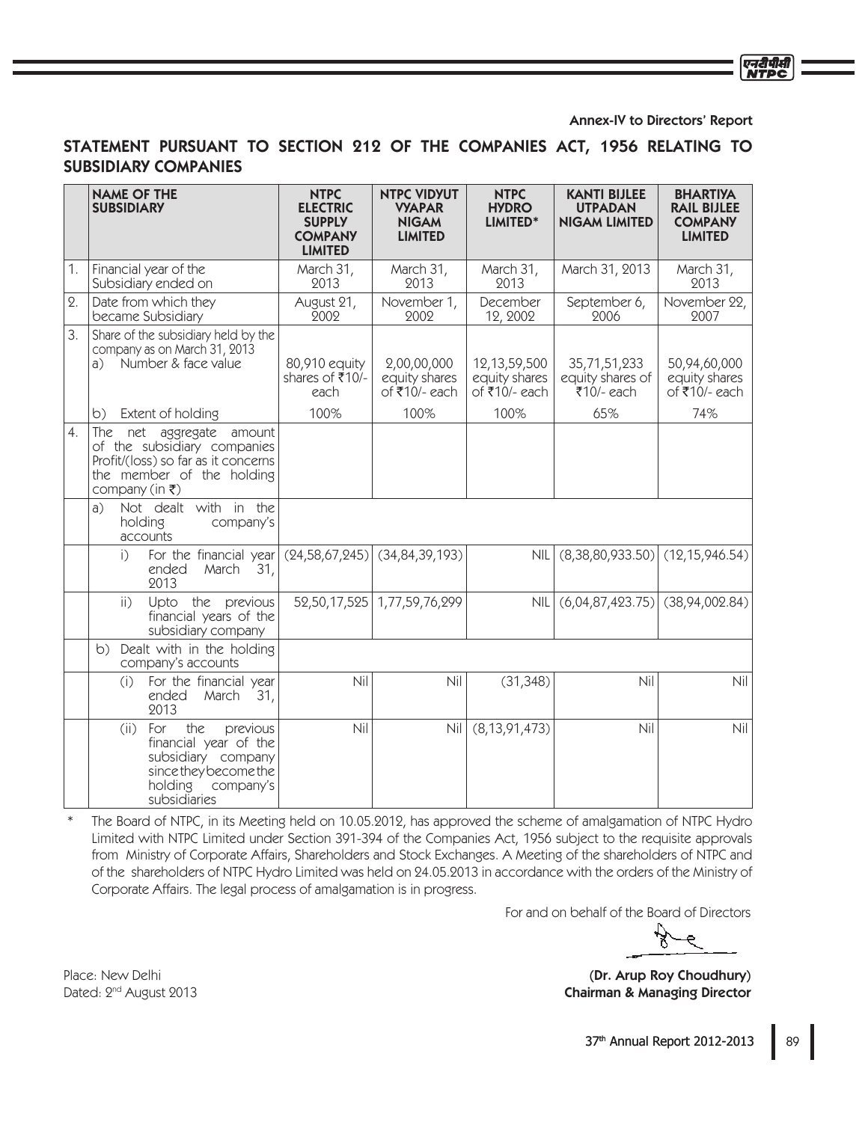#### Annex-IV to Directors' Report

एनटी पीस

# STATEMENT PURSUANT TO SECTION 212 OF THE COMPANIES ACT, 1956 RELATING TO **SUBSIDIARY COMPANIES**

|                  | <b>NAME OF THE</b><br><b>SUBSIDIARY</b>                                                                                                                   | <b>NTPC</b><br><b>ELECTRIC</b><br><b>SUPPLY</b><br><b>COMPANY</b><br><b>LIMITED</b> | <b>NTPC VIDYUT</b><br><b>VYAPAR</b><br><b>NIGAM</b><br><b>LIMITED</b> | <b>NTPC</b><br><b>HYDRO</b><br>LIMITED*           | <b>KANTI BIJLEE</b><br><b>UTPADAN</b><br><b>NIGAM LIMITED</b> | <b>BHARTIYA</b><br><b>RAIL BIJLEE</b><br><b>COMPANY</b><br><b>LIMITED</b> |
|------------------|-----------------------------------------------------------------------------------------------------------------------------------------------------------|-------------------------------------------------------------------------------------|-----------------------------------------------------------------------|---------------------------------------------------|---------------------------------------------------------------|---------------------------------------------------------------------------|
| 1.               | Financial year of the<br>Subsidiary ended on                                                                                                              | March 31,<br>2013                                                                   | March 31,<br>2013                                                     | March 31,<br>2013                                 | March 31, 2013                                                | March 31,<br>2013                                                         |
| $\Omega$ .       | Date from which they<br>became Subsidiary                                                                                                                 | August 21,<br>2002                                                                  | November 1,<br>2002                                                   | December<br>12, 2002                              | September 6,<br>2006                                          | November 22,<br>2007                                                      |
| 3.               | Share of the subsidiary held by the<br>company as on March 31, 2013<br>Number & face value<br>a)                                                          | 80,910 equity<br>shares of ₹10/-<br>each                                            | 2,00,00,000<br>equity shares<br>of ₹10/- each                         | 12, 13, 59, 500<br>equity shares<br>of ₹10/- each | 35,71,51,233<br>equity shares of<br>₹10/- each                | 50,94,60,000<br>equity shares<br>of ₹10/- each                            |
|                  | Extent of holding<br>b)                                                                                                                                   | 100%                                                                                | 100%                                                                  | 100%                                              | 65%                                                           | 74%                                                                       |
| $\overline{4}$ . | The net aggregate<br>amount<br>of the subsidiary companies<br>Profit/(loss) so far as it concerns<br>the member of the holding<br>company (in $\bar{z}$ ) |                                                                                     |                                                                       |                                                   |                                                               |                                                                           |
|                  | Not dealt with in the<br>a)<br>holding<br>company's<br>accounts                                                                                           |                                                                                     |                                                                       |                                                   |                                                               |                                                                           |
|                  | For the financial year<br>i<br>ended<br>March<br>31,<br>2013                                                                                              |                                                                                     | $(24,58,67,245)$ (34,84,39,193)                                       | <b>NIL</b>                                        | (8,38,80,933.50)                                              | (12, 15, 946.54)                                                          |
|                  | Upto the previous<br>$\overline{ii}$<br>financial years of the<br>subsidiary company                                                                      |                                                                                     | 52,50,17,525   1,77,59,76,299                                         | NIL                                               | (6,04,87,423.75)                                              | (38, 94, 002.84)                                                          |
|                  | Dealt with in the holding<br>b)<br>company's accounts                                                                                                     |                                                                                     |                                                                       |                                                   |                                                               |                                                                           |
|                  | For the financial year<br>(i)<br>31,<br>ended<br>March<br>2013                                                                                            | Nil                                                                                 | Nil                                                                   | (31, 348)                                         | Nil                                                           | Nil                                                                       |
|                  | the<br>For<br>previous<br>(ii)<br>financial year of the<br>subsidiary company<br>since they become the<br>holding<br>company's<br>subsidiaries            | Nil                                                                                 | Nil                                                                   | (8, 13, 91, 473)                                  | Nil                                                           | Nil                                                                       |

 $\ast$ The Board of NTPC, in its Meeting held on 10.05.2012, has approved the scheme of amalgamation of NTPC Hydro Limited with NTPC Limited under Section 391-394 of the Companies Act, 1956 subject to the requisite approvals from Ministry of Corporate Affairs, Shareholders and Stock Exchanges. A Meeting of the shareholders of NTPC and of the shareholders of NTPC Hydro Limited was held on 24.05.2013 in accordance with the orders of the Ministry of Corporate Affairs. The legal process of amalgamation is in progress.

For and on behalf of the Board of Directors

(Dr. Arup Roy Choudhury) **Chairman & Managing Director**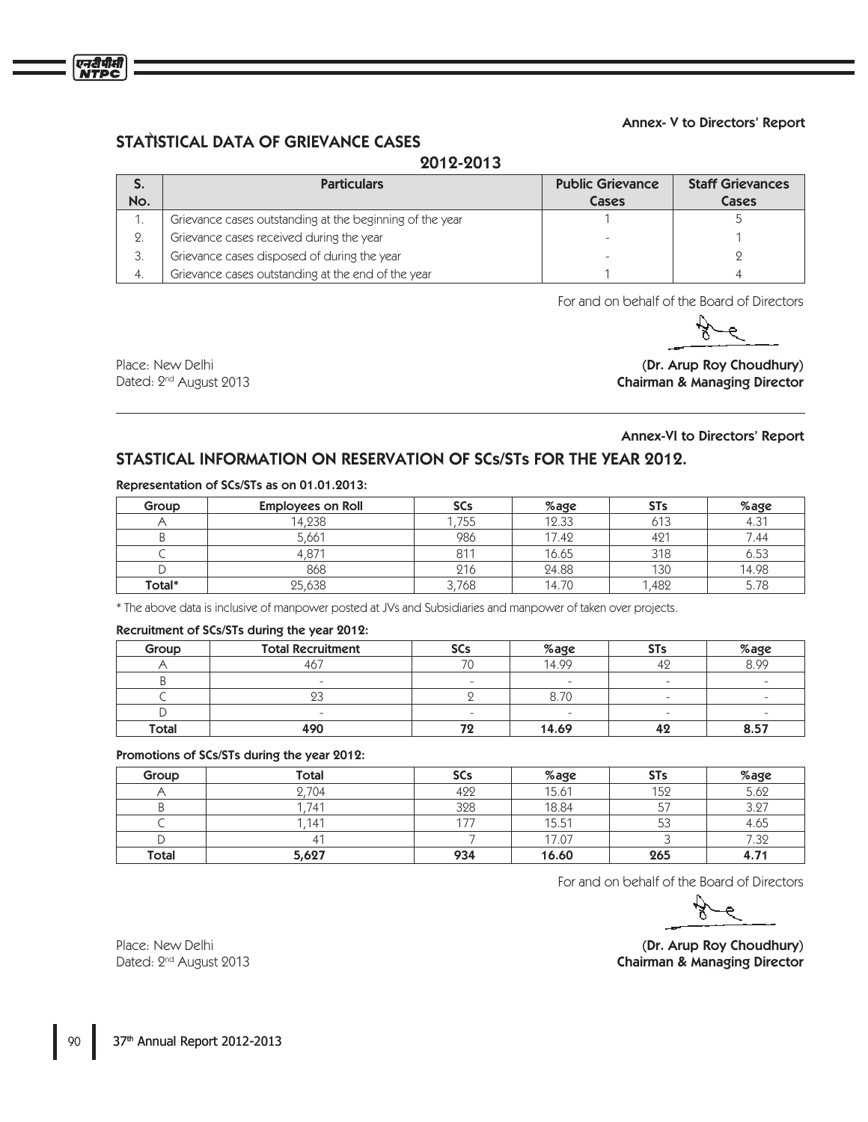

# STATISTICAL DATA OF GRIEVANCE CASES

# 2012-2013

| J.  | <b>Particulars</b>                                       | <b>Public Grievance</b> | <b>Staff Grievances</b> |
|-----|----------------------------------------------------------|-------------------------|-------------------------|
| No. |                                                          | Cases                   | Cases                   |
|     | Grievance cases outstanding at the beginning of the year |                         |                         |
| 2.  | Grievance cases received during the year                 |                         |                         |
| 3.  | Grievance cases disposed of during the year              |                         |                         |
| 4.  | Grievance cases outstanding at the end of the year       |                         |                         |

For and on behalf of the Board of Directors

एनटीपीसी

Place: New Delhi **1MBDF /FX FMID (Dr. Arup Roy Choudhury**) Dated: 2<sup>nd</sup> August 2013 **Director Chairman & Managing Director** 

## Annex-VI to Directors' Report

# STASTICAL INFORMATION ON RESERVATION OF SCs/STs FOR THE YEAR 2012.

#### Representation of SCs/STs as on 01.01.2013:

| Group  | <b>Employees on Roll</b> | <b>SCs</b> | %age  | <b>STs</b> | %age       |
|--------|--------------------------|------------|-------|------------|------------|
|        | 14.238                   | 755        | 12.33 | 613        | 171<br>4.3 |
|        | 5,661                    | 986        | 17.42 | 421        | 7.44       |
|        |                          | 811        | 16.65 | 318        | 6.53       |
|        | 868                      | 216        | 24.88 | 130        | 14.98      |
| Total* | 25,638                   | 768        | 14.70 | .482       |            |

\* The above data is inclusive of manpower posted at JVs and Subsidiaries and manpower of taken over projects.

### Recruitment of SCs/STs during the year 2012:

| Group        | <b>Total Recruitment</b> | <b>SCs</b>               | %age  | <b>STs</b> | %age                   |
|--------------|--------------------------|--------------------------|-------|------------|------------------------|
|              | 467                      | 70                       | 14.99 |            | 8.99                   |
|              | $\overline{\phantom{a}}$ | $\overline{\phantom{a}}$ |       | $\sim$     |                        |
|              |                          |                          | 8.70  |            |                        |
|              | $\sim$                   | $\overline{\phantom{a}}$ |       | $\sim$     | $\sim$                 |
| <b>Total</b> | 490                      |                          | 14.69 | 42         | 57<br>$\bullet$<br>0.J |

#### Promotions of SCs/STs during the year 2012:

| Group        | <b>Total</b>     | <b>SCs</b> | %age  | <b>STs</b> | %age             |
|--------------|------------------|------------|-------|------------|------------------|
|              | .704             | 422        | 15.61 | 152        | 5.62             |
|              | .74 <sup>1</sup> | 328        | 18.84 |            | 3.27             |
|              | 141              | ニュー        | 15.51 | 53         | 4.65             |
|              |                  |            | 17.07 |            | 7.32             |
| <b>Total</b> | 5,627            | 934        | 16.60 | 265        | 4.7 <sup>1</sup> |

For and on behalf of the Board of Directors

 $\bullet$ 

Place: New Delhi (Dr. Arup Roy Choudhury) Chairman & Managing Director

Dated: 2<sup>nd</sup> August 2013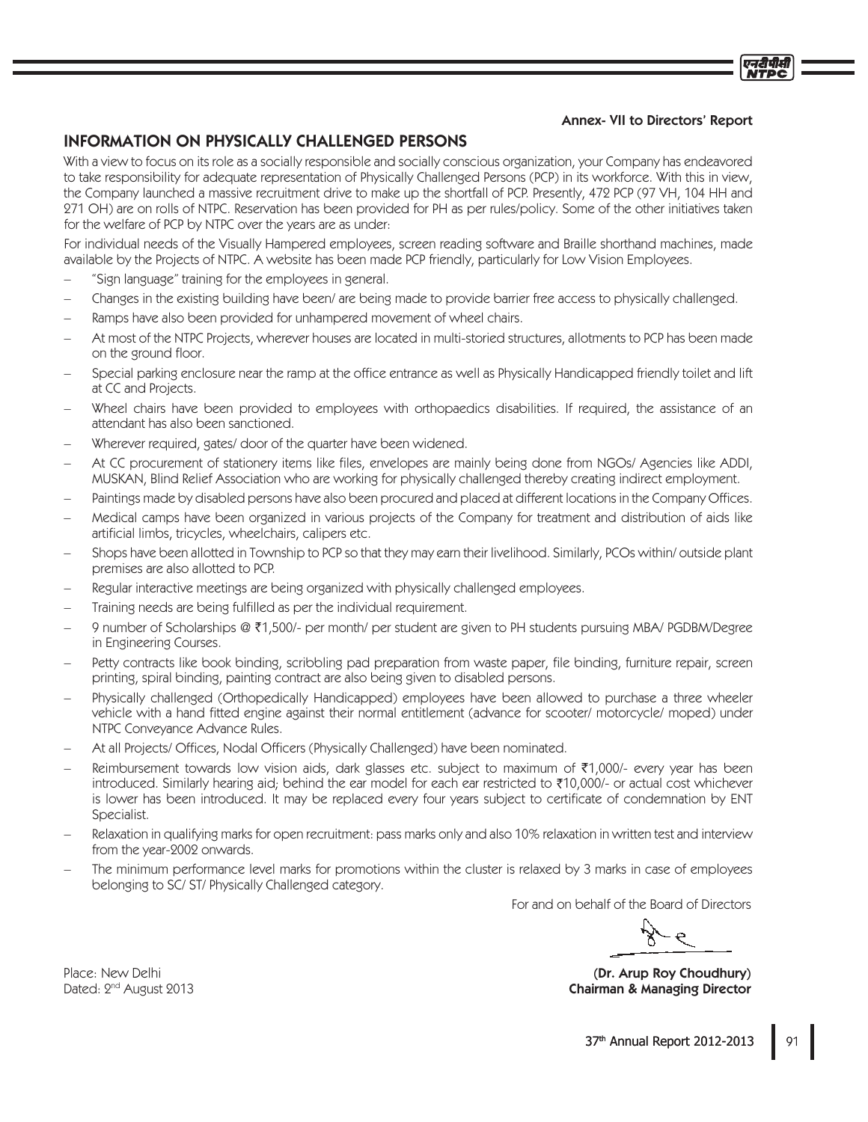## **Annex- VII to Directors' Report**

# **INFORMATION ON PHYSICALLY CHALLENGED PERSONS**

With a view to focus on its role as a socially responsible and socially conscious organization, your Company has endeavored to take responsibility for adequate representation of Physically Challenged Persons (PCP) in its workforce. With this in view, the Company launched a massive recruitment drive to make up the shortfall of PCP. Presently, 472 PCP (97 VH, 104 HH and 271 OH) are on rolls of NTPC. Reservation has been provided for PH as per rules/policy. Some of the other initiatives taken for the welfare of PCP by NTPC over the years are as under:

For individual needs of the Visually Hampered employees, screen reading software and Braille shorthand machines, made available by the Projects of NTPC. A website has been made PCP friendly, particularly for Low Vision Employees.

- "Sign language" training for the employees in general.
- Changes in the existing building have been/ are being made to provide barrier free access to physically challenged.
- Ramps have also been provided for unhampered movement of wheel chairs.
- At most of the NTPC Projects, wherever houses are located in multi-storied structures, allotments to PCP has been made on the ground floor.
- Special parking enclosure near the ramp at the office entrance as well as Physically Handicapped friendly toilet and lift at CC and Projects.
- Wheel chairs have been provided to employees with orthopaedics disabilities. If required, the assistance of an attendant has also been sanctioned.
- Wherever required, gates/door of the quarter have been widened.
- At CC procurement of stationery items like files, envelopes are mainly being done from NGOs/ Agencies like ADDI, MUSKAN, Blind Relief Association who are working for physically challenged thereby creating indirect employment.
- Paintings made by disabled persons have also been procured and placed at different locations in the Company Offices.
- Medical camps have been organized in various projects of the Company for treatment and distribution of aids like artificial limbs, tricycles, wheelchairs, calipers etc.
- Shops have been allotted in Township to PCP so that they may earn their livelihood. Similarly, PCOs within/outside plant premises are also allotted to PCP.
- Regular interactive meetings are being organized with physically challenged employees.
- Training needs are being fulfilled as per the individual requirement.
- 9 number of Scholarships @ ₹1,500/- per month/ per student are given to PH students pursuing MBA/ PGDBM/Degree in Engineering Courses.
- Petty contracts like book binding, scribbling pad preparation from waste paper, file binding, furniture repair, screen printing, spiral binding, painting contract are also being given to disabled persons.
- Physically challenged (Orthopedically Handicapped) employees have been allowed to purchase a three wheeler vehicle with a hand fitted engine against their normal entitlement (advance for scooter/motorcycle/moped) under NTPC Conveyance Advance Rules.
- At all Projects/ Offices, Nodal Officers (Physically Challenged) have been nominated.
- Reimbursement towards low vision aids, dark glasses etc. subject to maximum of ₹1,000/- every year has been introduced. Similarly hearing aid; behind the ear model for each ear restricted to ₹10,000/- or actual cost whichever is lower has been introduced. It may be replaced every four years subject to certificate of condemnation by ENT Specialist.
- Relaxation in qualifying marks for open recruitment: pass marks only and also 10% relaxation in written test and interview from the year-2002 onwards.
- The minimum performance level marks for promotions within the cluster is relaxed by 3 marks in case of employees belonging to SC/ST/Physically Challenged category.

For and on behalf of the Board of Directors

(Dr. Arup Roy Choudhury) **Chairman & Managing Director**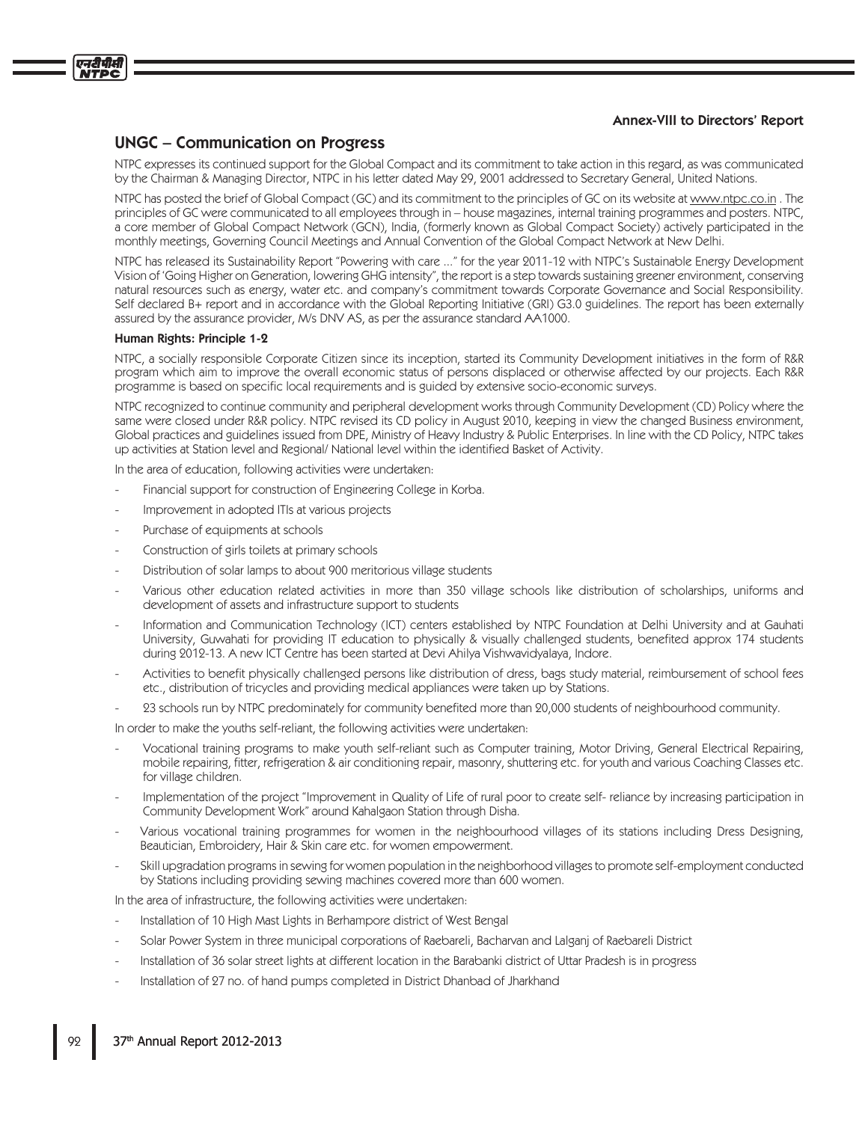#### **Annex-VIII to Directors' Report**

# **UNGC – Communication on Progress**

NTPC expresses its continued support for the Global Compact and its commitment to take action in this regard, as was communicated by the Chairman & Managing Director, NTPC in his letter dated May 29, 2001 addressed to Secretary General, United Nations.

NTPC has posted the brief of Global Compact (GC) and its commitment to the principles of GC on its website at www.ntpc.co.in. The principles of GC were communicated to all employees through in – house magazines, internal training programmes and posters. NTPC, a core member of Global Compact Network (GCN), India, (formerly known as Global Compact Society) actively participated in the monthly meetings, Governing Council Meetings and Annual Convention of the Global Compact Network at New Delhi.

NTPC has released its Sustainability Report "Powering with care ..." for the year 2011-12 with NTPC's Sustainable Energy Development Vision of 'Going Higher on Generation, lowering GHG intensity", the report is a step towards sustaining greener environment, conserving natural resources such as energy, water etc. and company's commitment towards Corporate Governance and Social Responsibility. Self declared B+ report and in accordance with the Global Reporting Initiative (GRI) G3.0 guidelines. The report has been externally assured by the assurance provider, M/s DNV AS, as per the assurance standard AA1000.

#### Human Rights: Principle 1-2

NTPC, a socially responsible Corporate Citizen since its inception, started its Community Development initiatives in the form of R&R program which aim to improve the overall economic status of persons displaced or otherwise affected by our projects. Each R&R programme is based on specific local requirements and is guided by extensive socio-economic surveys.

NTPC recognized to continue community and peripheral development works through Community Development (CD) Policy where the same were closed under R&R policy. NTPC revised its CD policy in August 2010, keeping in view the changed Business environment, Global practices and guidelines issued from DPE, Ministry of Heavy Industry & Public Enterprises. In line with the CD Policy, NTPC takes up activities at Station level and Regional/ National level within the identified Basket of Activity.

In the area of education, following activities were undertaken:

- Financial support for construction of Engineering College in Korba.
- Improvement in adopted ITIs at various projects
- Purchase of equipments at schools
- Construction of girls toilets at primary schools
- Distribution of solar lamps to about 900 meritorious village students
- Various other education related activities in more than 350 village schools like distribution of scholarships, uniforms and development of assets and infrastructure support to students
- Information and Communication Technology (ICT) centers established by NTPC Foundation at Delhi University and at Gauhati University, Guwahati for providing IT education to physically & visually challenged students, benefited approx 174 students during 2012-13. A new ICT Centre has been started at Devi Ahilya Vishwavidyalaya, Indore.
- Activities to benefit physically challenged persons like distribution of dress, bags study material, reimbursement of school fees etc., distribution of tricycles and providing medical appliances were taken up by Stations.
- 23 schools run by NTPC predominately for community benefited more than 20,000 students of neighbourhood community.

In order to make the youths self-reliant, the following activities were undertaken:

- Vocational training programs to make youth self-reliant such as Computer training, Motor Driving, General Electrical Repairing, mobile repairing, fitter, refrigeration & air conditioning repair, masonry, shuttering etc. for youth and various Coaching Classes etc. for village children.
- Implementation of the project "Improvement in Quality of Life of rural poor to create self-reliance by increasing participation in Community Development Work" around Kahalgaon Station through Disha.
- Various vocational training programmes for women in the neighbourhood villages of its stations including Dress Designing, Beautician, Embroidery, Hair & Skin care etc. for women empowerment.
- Skill upgradation programs in sewing for women population in the neighborhood villages to promote self-employment conducted by Stations including providing sewing machines covered more than 600 women.

In the area of infrastructure, the following activities were undertaken.

- Installation of 10 High Mast Lights in Berhampore district of West Bengal
- Solar Power System in three municipal corporations of Raebareli, Bacharvan and Lalganj of Raebareli District
- Installation of 36 solar street lights at different location in the Barabanki district of Uttar Pradesh is in progress
- Installation of 27 no. of hand pumps completed in District Dhanbad of Jharkhand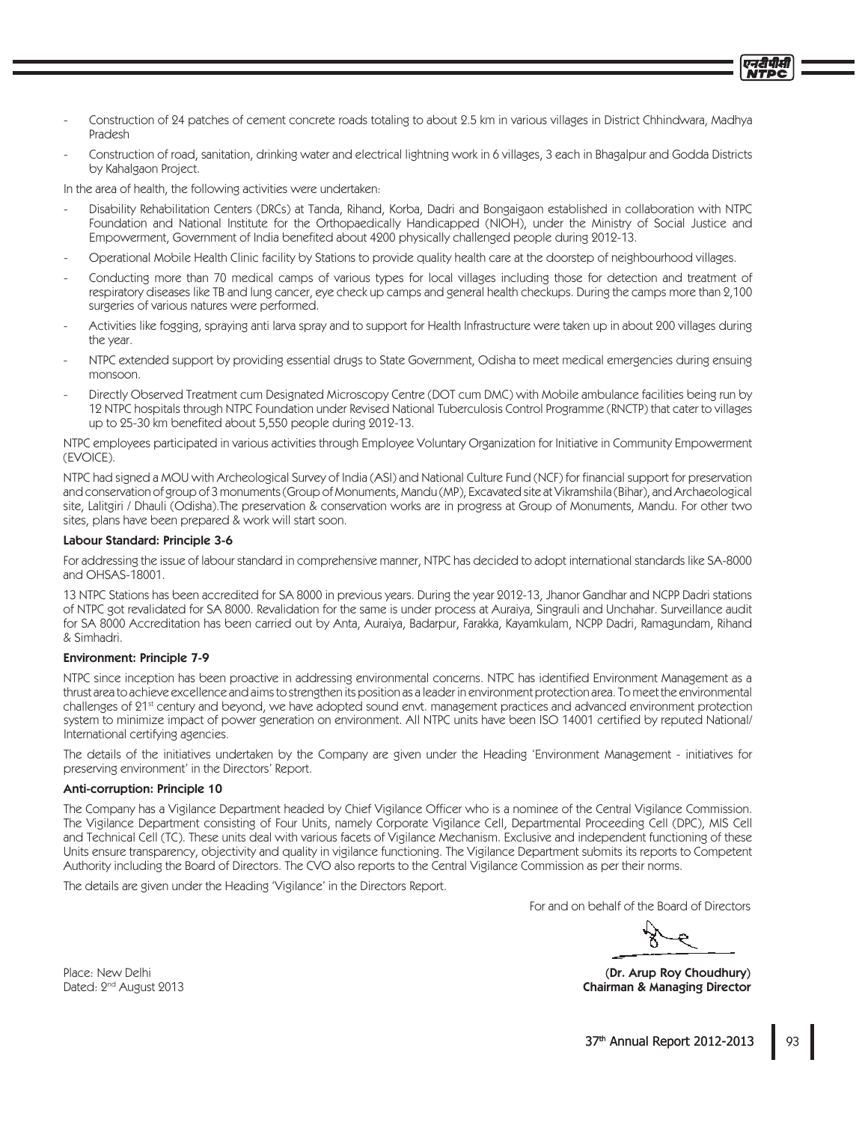- Construction of 24 patches of cement concrete roads totaling to about 2.5 km in various villages in District Chhindwara. Madhya **Pradesh**
- Construction of road, sanitation, drinking water and electrical lightning work in 6 villages, 3 each in Bhagalpur and Godda Districts by Kahalgaon Project.

In the area of health, the following activities were undertaken:

- Disability Rehabilitation Centers (DRCs) at Tanda, Rihand, Korba, Dadri and Bongaigaon established in collaboration with NTPC Foundation and National Institute for the Orthopaedically Handicapped (NIOH), under the Ministry of Social Justice and Empowerment, Government of India benefited about 4200 physically challenged people during 2012-13.
- Operational Mobile Health Clinic facility by Stations to provide quality health care at the doorstep of neighbourhood villages.
- Conducting more than 70 medical camps of various types for local villages including those for detection and treatment of respiratory diseases like TB and lung cancer, eye check up camps and general health checkups. During the camps more than 2,100 surgeries of various natures were performed.
- Activities like fogging, spraying anti larva spray and to support for Health Infrastructure were taken up in about 200 villages during the year.
- NTPC extended support by providing essential drugs to State Government, Odisha to meet medical emergencies during ensuing monsoon.
- Directly Observed Treatment cum Designated Microscopy Centre (DOT cum DMC) with Mobile ambulance facilities being run by 12 NTPC hospitals through NTPC Foundation under Revised National Tuberculosis Control Programme (RNCTP) that cater to villages up to 25-30 km benefited about 5,550 people during 2012-13.

NTPC employees participated in various activities through Employee Voluntary Organization for Initiative in Community Empowerment (EVOICE).

NTPC had signed a MOU with Archeological Survey of India (ASI) and National Culture Fund (NCF) for financial support for preservation and conservation of group of 3 monuments (Group of Monuments, Mandu (MP), Excavated site at Vikramshila (Bihar), and Archaeological site, Lalitgiri / Dhauli (Odisha).The preservation & conservation works are in progress at Group of Monuments, Mandu. For other two sites, plans have been prepared & work will start soon.

#### Labour Standard: Principle 3-6

For addressing the issue of labour standard in comprehensive manner, NTPC has decided to adopt international standards like SA-8000 and OHSAS-18001.

13 NTPC Stations has been accredited for SA 8000 in previous years. During the year 2012-13, Jhanor Gandhar and NCPP Dadri stations of NTPC got revalidated for SA 8000. Revalidation for the same is under process at Auraiya, Singrauli and Unchahar. Surveillance audit for SA 8000 Accreditation has been carried out by Anta, Auraiya, Badarpur, Farakka, Kayamkulam, NCPP Dadri, Ramagundam, Rihand & Simhadri.

#### **Environment: Principle 7-9**

NTPC since inception has been proactive in addressing environmental concerns. NTPC has identified Environment Management as a thrust area to achieve excellence and aims to strengthen its position as a leader in environment protection area. To meet the environmental challenges of 21<sup>st</sup> century and beyond, we have adopted sound envt. management practices and advanced environment protection system to minimize impact of power generation on environment. All NTPC units have been ISO 14001 certified by reputed National/ international certifying agencies.

The details of the initiatives undertaken by the Company are given under the Heading 'Environment Management - initiatives for preserving environment' in the Directors' Report.

#### Anti-corruption: Principle 10

The Company has a Vigilance Department headed by Chief Vigilance Officer who is a nominee of the Central Vigilance Commission. The Vigilance Department consisting of Four Units, namely Corporate Vigilance Cell, Departmental Proceeding Cell (DPC), MIS Cell and Technical Cell (TC). These units deal with various facets of Vigilance Mechanism. Exclusive and independent functioning of these Units ensure transparency, objectivity and quality in vigilance functioning. The Vigilance Department submits its reports to Competent Authority including the Board of Directors. The CVO also reports to the Central Vigilance Commission as per their norms.

The details are given under the Heading 'Vigilance' in the Directors Report.

For and on behalf of the Board of Directors

एनरीपीर्स

(Dr. Arup Roy Choudhury) **Chairman & Managing Director**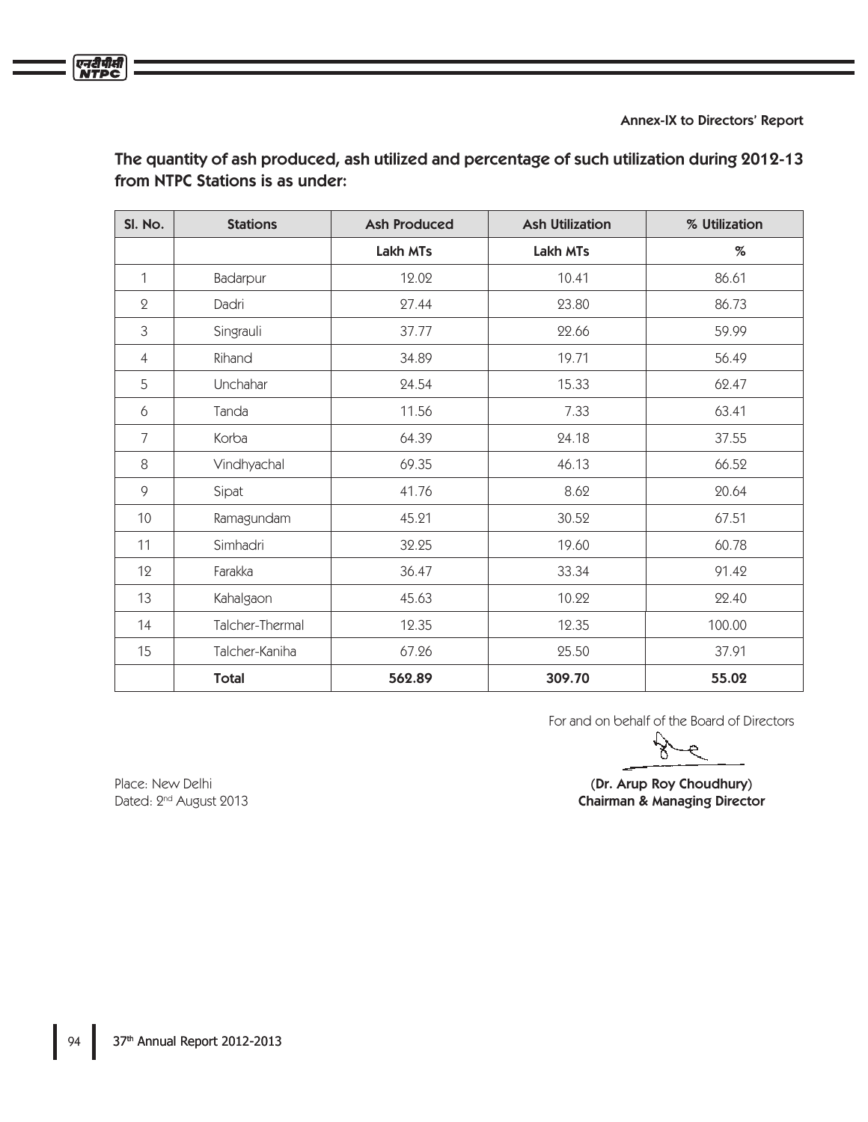Annex-IX to Directors' Report

| SI. No.        | <b>Stations</b> | <b>Ash Produced</b> | <b>Ash Utilization</b> | % Utilization |  |
|----------------|-----------------|---------------------|------------------------|---------------|--|
|                |                 | Lakh MTs            | Lakh MTs               | %             |  |
| $\mathbf{1}$   | Badarpur        | 12.02               | 10.41                  | 86.61         |  |
| $\mathbf 2$    | Dadri           | 27.44               | 23.80                  | 86.73         |  |
| 3              | Singrauli       | 37.77               | 22.66                  | 59.99         |  |
| $\overline{4}$ | Rihand          | 34.89               | 19.71                  | 56.49         |  |
| 5              | Unchahar        | 24.54               | 15.33                  | 62.47         |  |
| 6              | Tanda           | 11.56               | 7.33                   | 63.41         |  |
| 7              | Korba           | 64.39               | 24.18                  | 37.55         |  |
| 8              | Vindhyachal     | 69.35               | 46.13                  | 66.52         |  |
| 9              | Sipat           | 41.76               | 8.62                   | 20.64         |  |
| 10             | Ramagundam      | 45.21               | 30.52                  | 67.51         |  |
| 11             | Simhadri        | 32.25               | 19.60                  | 60.78         |  |
| 12             | Farakka         | 36.47               | 33.34                  | 91.42         |  |
| 13             | Kahalgaon       | 45.63               | 10.22                  | 22.40         |  |
| 14             | Talcher-Thermal | 12.35               | 12.35                  | 100.00        |  |
| 15             | Talcher-Kaniha  | 67.26               | 25.50                  | 37.91         |  |
|                | <b>Total</b>    | 562.89              | 309.70                 | 55.02         |  |

The quantity of ash produced, ash utilized and percentage of such utilization during 2012-13 from NTPC Stations is as under:

For and on behalf of the Board of Directors

Place: New Delhi (Dr. Arup Roy Choudhury) Chairman & Managing Director

Dated: 2<sup>nd</sup> August 2013

एनरीपीसी<br>NTPC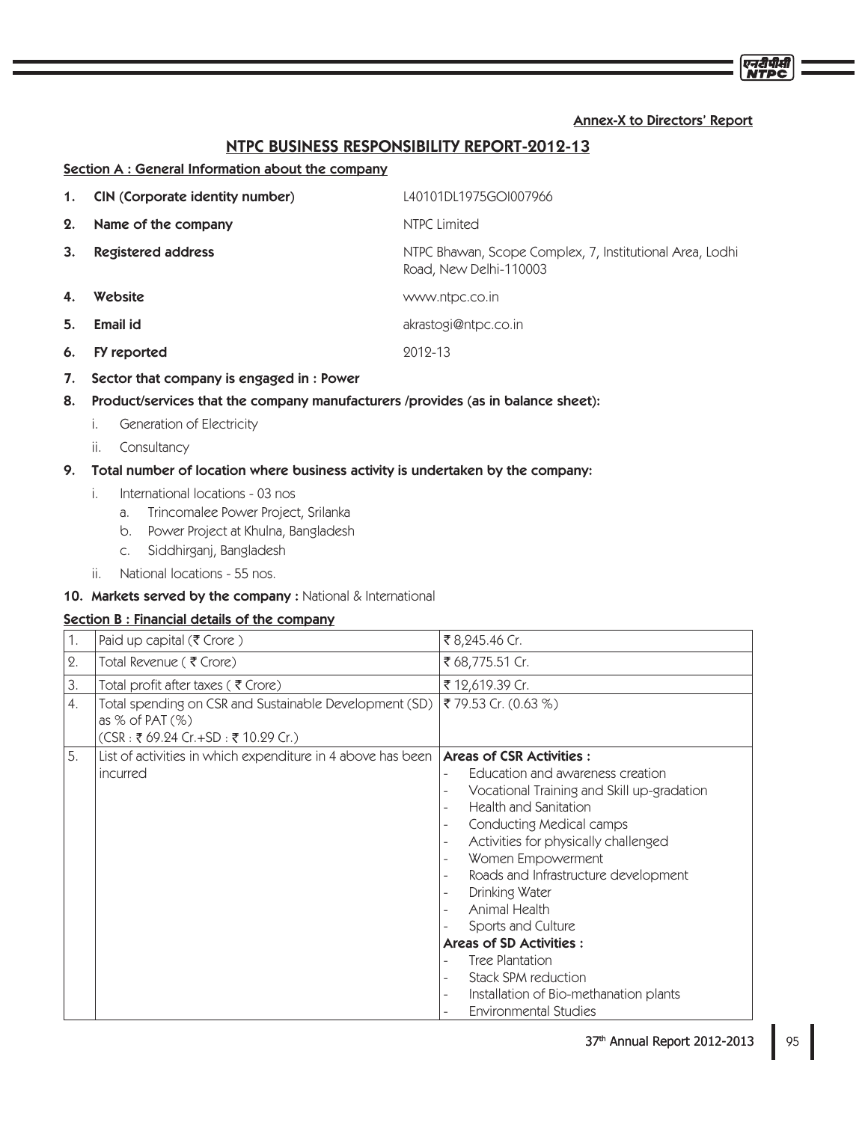# Annex-X to Directors' Report

# NTPC BUSINESS RESPONSIBILITY REPORT-2012-13

#### Section A : General Information about the company

| <b>NTPC Limited</b><br>2.<br>Name of the company<br>3.<br>Registered address<br>Road, New Delhi-110003<br>4.<br>Website<br>www.ntpc.co.in<br>5.<br>Email id<br>akrastogi@ntpc.co.in<br>9019-13<br>6.<br>FY reported<br>Sector that company is engaged in: Power<br>7. | 1. | CIN (Corporate identity number) | L40101DL1975GOI007966                                    |
|-----------------------------------------------------------------------------------------------------------------------------------------------------------------------------------------------------------------------------------------------------------------------|----|---------------------------------|----------------------------------------------------------|
|                                                                                                                                                                                                                                                                       |    |                                 |                                                          |
|                                                                                                                                                                                                                                                                       |    |                                 | NTPC Bhawan, Scope Complex, 7, Institutional Area, Lodhi |
|                                                                                                                                                                                                                                                                       |    |                                 |                                                          |
|                                                                                                                                                                                                                                                                       |    |                                 |                                                          |
|                                                                                                                                                                                                                                                                       |    |                                 |                                                          |
|                                                                                                                                                                                                                                                                       |    |                                 |                                                          |

- 8. Product/services that the company manufacturers /provides (as in balance sheet):
	- i. Generation of Electricity
	- ii. Consultancy

# 9. Total number of location where business activity is undertaken by the company:

- i. International locations 03 nos
	- a. Trincomalee Power Project, Srilanka
	- b. Power Project at Khulna, Bangladesh
	- c. Siddhirganj, Bangladesh
- ii. National locations 55 nos.

# 10. Markets served by the company : National & International

# Section B : Financial details of the company

| 1.         | Paid up capital ( $\bar{\tau}$ Crore)                                                                              | ₹ 8,245.46 Cr.                                                                                                                                                                                                                                                                                                                   |
|------------|--------------------------------------------------------------------------------------------------------------------|----------------------------------------------------------------------------------------------------------------------------------------------------------------------------------------------------------------------------------------------------------------------------------------------------------------------------------|
| $\Omega$ . | Total Revenue (₹ Crore)                                                                                            | ₹ 68,775.51 Cr.                                                                                                                                                                                                                                                                                                                  |
| 3.         | Total profit after taxes (₹ Crore)                                                                                 | ₹ 12,619.39 Cr.                                                                                                                                                                                                                                                                                                                  |
| 4.         | Total spending on CSR and Sustainable Development (SD)<br>as $%$ of PAT $(\%)$<br>(CSR: ₹69.24 Cr.+SD: ₹10.29 Cr.) | ₹ 79.53 Cr. (0.63 %)                                                                                                                                                                                                                                                                                                             |
| 5.         | List of activities in which expenditure in 4 above has been<br>incurred                                            | <b>Areas of CSR Activities:</b><br>Education and awareness creation<br>Vocational Training and Skill up-gradation<br><b>Health and Sanitation</b><br>$\overline{\phantom{a}}$<br>Conducting Medical camps<br>Activities for physically challenged<br>Women Empowerment<br>Roads and Infrastructure development<br>Drinking Water |
|            |                                                                                                                    | Animal Health<br>Sports and Culture<br><b>Areas of SD Activities:</b><br>Tree Plantation<br>Stack SPM reduction<br>Installation of Bio-methanation plants<br>$\overline{\phantom{a}}$<br><b>Environmental Studies</b>                                                                                                            |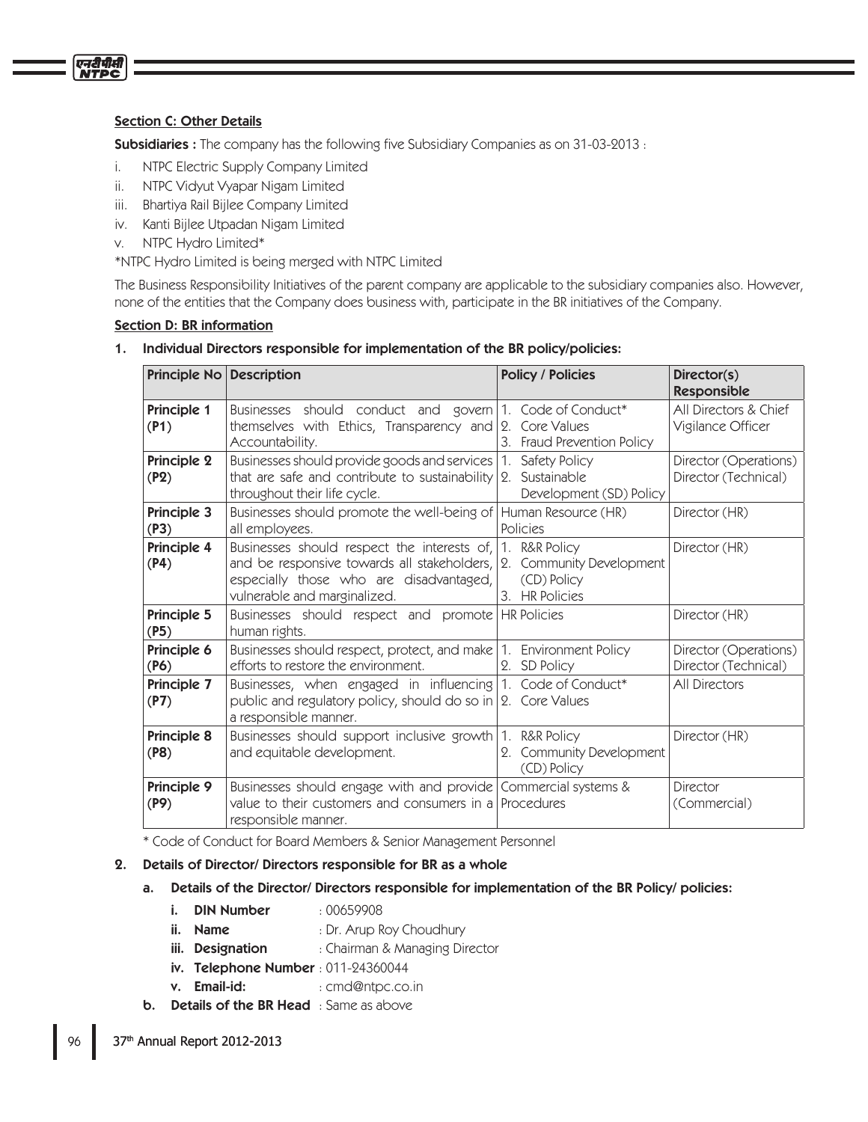# **Section C: Other Details**

एनदीपीसी

**Subsidiaries :** The company has the following five Subsidiary Companies as on 31-03-2013 :

- i. NTPC Electric Supply Company Limited
- ii. NTPC Vidyut Vyapar Nigam Limited
- iii. Bhartiya Rail Bijlee Company Limited
- iv. Kanti Bijlee Utpadan Nigam Limited
- v. NTPC Hydro Limited\*

\*NTPC Hydro Limited is being merged with NTPC Limited

The Business Responsibility Initiatives of the parent company are applicable to the subsidiary companies also. However, none of the entities that the Company does business with, participate in the BR initiatives of the Company.

## Section D: BR information

1. Individual Directors responsible for implementation of the BR policy/policies:

| Principle No Description |                                                                                                                                                                       | <b>Policy / Policies</b>                                                   | Director(s)<br>Responsible                    |
|--------------------------|-----------------------------------------------------------------------------------------------------------------------------------------------------------------------|----------------------------------------------------------------------------|-----------------------------------------------|
| Principle 1<br>(P1)      | Businesses should conduct and govern 1. Code of Conduct*<br>themselves with Ethics, Transparency and $ 2$ . Core Values<br>Accountability.                            | 3. Fraud Prevention Policy                                                 | All Directors & Chief<br>Vigilance Officer    |
| Principle 2<br>(P2)      | Businesses should provide goods and services<br>that are safe and contribute to sustainability<br>throughout their life cycle.                                        | Safety Policy<br>1.<br>Sustainable<br>9.<br>Development (SD) Policy        | Director (Operations)<br>Director (Technical) |
| Principle 3<br>(P3)      | Businesses should promote the well-being of<br>all employees.                                                                                                         | Human Resource (HR)<br>Policies                                            | Director (HR)                                 |
| Principle 4<br>(P4)      | Businesses should respect the interests of,<br>and be responsive towards all stakeholders,<br>especially those who are disadvantaged,<br>vulnerable and marginalized. | 1. R&R Policy<br>2. Community Development<br>(CD) Policy<br>3. HR Policies | Director (HR)                                 |
| Principle 5<br>(P5)      | Businesses should respect and promote HR Policies<br>human rights.                                                                                                    |                                                                            | Director (HR)                                 |
| Principle 6<br>(P6)      | Businesses should respect, protect, and make 1.<br>efforts to restore the environment.                                                                                | <b>Environment Policy</b><br><b>SD Policy</b><br>2.                        | Director (Operations)<br>Director (Technical) |
| Principle 7<br>(P7)      | Businesses, when engaged in influencing $ 1$ .<br>public and regulatory policy, should do so in   2. Core Values<br>a responsible manner.                             | Code of Conduct*                                                           | <b>All Directors</b>                          |
| Principle 8<br>(P8)      | Businesses should support inclusive growth 1. R&R Policy<br>and equitable development.                                                                                | 2. Community Development<br>(CD) Policy                                    | Director (HR)                                 |
| Principle 9<br>(P9)      | Businesses should engage with and provide Commercial systems &<br>value to their customers and consumers in a Procedures<br>responsible manner.                       |                                                                            | Director<br>(Commercial)                      |

\* Code of Conduct for Board Members & Senior Management Personnel

- 2. Details of Director/ Directors responsible for BR as a whole
	- a. Details of the Director/ Directors responsible for implementation of the BR Policy/ policies:
		- **i.** DIN Number : 00659908
		- ii. Name : Dr. Arup Roy Choudhury
		- **iii.** Designation : Chairman & Managing Director
		- iv. Telephone Number: 011-24360044
		- v. **Email-id:** : cmd@ntpc.co.in
	- **b.** Details of the BR Head : Same as above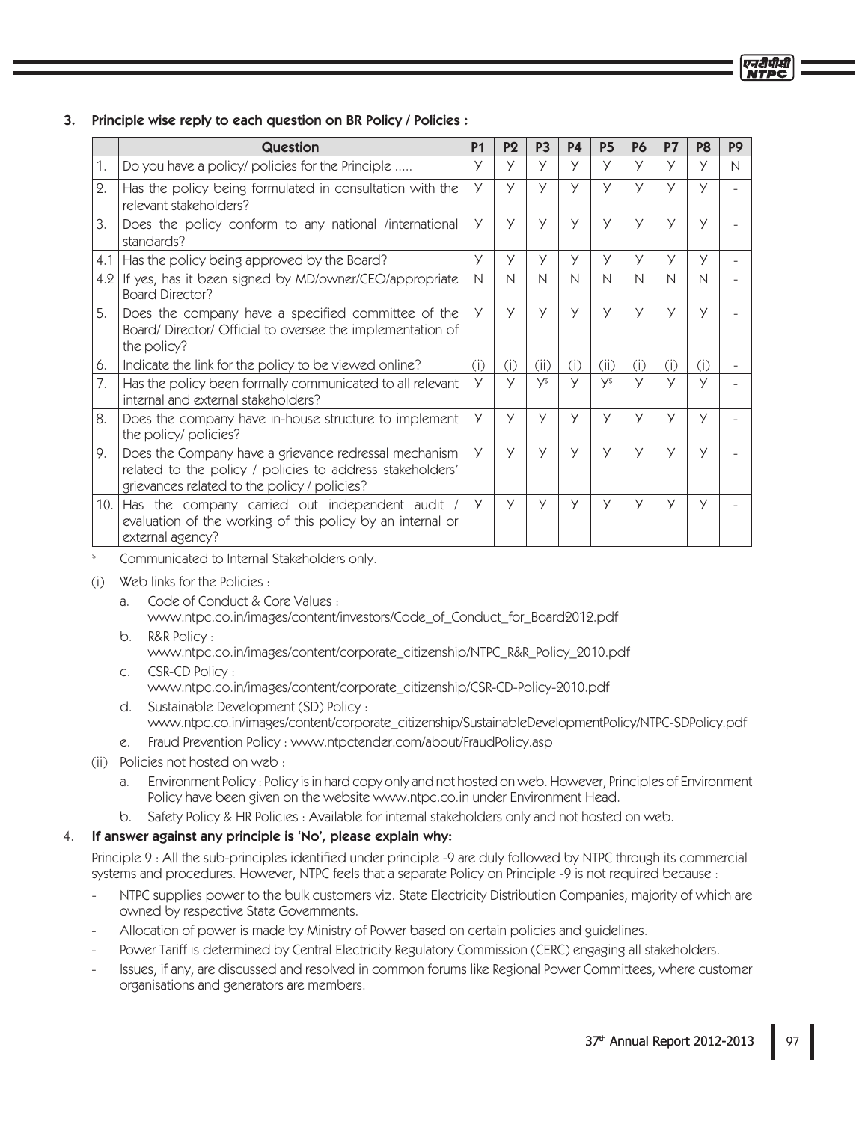|     | <b>Question</b>                                                                                                                                                    | <b>P1</b> | P <sub>2</sub> | P <sub>3</sub> | <b>P4</b> | <b>P5</b>    | P <sub>6</sub> | <b>P7</b> | P <sub>8</sub> | P <sub>9</sub> |
|-----|--------------------------------------------------------------------------------------------------------------------------------------------------------------------|-----------|----------------|----------------|-----------|--------------|----------------|-----------|----------------|----------------|
| 1.  | Do you have a policy/ policies for the Principle                                                                                                                   | У         | У              | У              | У         | У            | У              | У         | У              | $\mathsf{N}$   |
| 2.  | Has the policy being formulated in consultation with the<br>relevant stakeholders?                                                                                 | У         | У              | У              | y         | y            | У              | У         | У              |                |
| 3.  | Does the policy conform to any national /international<br>standards?                                                                                               | У         | У              | У              | У         | $\vee$       | $\vee$         | У         | У              |                |
| 4.1 | Has the policy being approved by the Board?                                                                                                                        | У         | У              | У              | У         | y            | У              | У         | У              |                |
| 4.2 | If yes, has it been signed by MD/owner/CEO/appropriate<br><b>Board Director?</b>                                                                                   | N         | N              | N              | N         | $\mathsf{N}$ | N              | N         | N              |                |
| 5.  | Does the company have a specified committee of the<br>Board/Director/Official to oversee the implementation of<br>the policy?                                      | У         | У              | У              | У         | У            | У              | У         | У              |                |
| 6.  | Indicate the link for the policy to be viewed online?                                                                                                              | (i)       | (i)            | (ii)           | (i)       | (ii)         | (i)            | (i)       | (i)            |                |
| 7.  | Has the policy been formally communicated to all relevant<br>internal and external stakeholders?                                                                   | У         | y              | <b>V</b> \$    | У         | y\$          | У              | $\vee$    | $\vee$         |                |
| 8.  | Does the company have in-house structure to implement<br>the policy/ policies?                                                                                     | У         | У              | У              | У         | У            | У              | У         | У              |                |
| 9.  | Does the Company have a grievance redressal mechanism<br>related to the policy / policies to address stakeholders'<br>grievances related to the policy / policies? | У         | У              | У              | У         | У            | У              | У         | У              |                |
| 10. | Has the company carried out independent audit<br>evaluation of the working of this policy by an internal or<br>external agency?                                    | У         | $\vee$         | У              | У         | y            | У              | У         | $\vee$         |                |

# 3. Principle wise reply to each question on BR Policy / Policies :

Communicated to Internal Stakeholders only.

- (i) Web links for the Policies:
	- a. Code of Conduct & Core Values : www.ntpc.co.in/images/content/investors/Code\_of\_Conduct\_for\_Board2012.pdf
	- b. R&R Policy: www.ntpc.co.in/images/content/corporate\_citizenship/NTPC\_R&R\_Policy\_2010.pdf
	- c. CSR-CD Policy: www.ntpc.co.in/images/content/corporate\_citizenship/CSR-CD-Policy-2010.pdf
- d. Sustainable Development (SD) Policy : www.ntpc.co.in/images/content/corporate\_citizenship/SustainableDevelopmentPolicy/NTPC-SDPolicy.pdf
	- e. Fraud Prevention Policy: www.ntpctender.com/about/FraudPolicy.asp
	- (ii) Policies not hosted on web :
		- a. Environment Policy: Policy is in hard copy only and not hosted on web. However, Principles of Environment Policy have been given on the website www.ntpc.co.in under Environment Head.
		- b. Safety Policy & HR Policies : Available for internal stakeholders only and not hosted on web.

# 4. If answer against any principle is 'No', please explain why:

Principle 9 : All the sub-principles identified under principle -9 are duly followed by NTPC through its commercial systems and procedures. However, NTPC feels that a separate Policy on Principle -9 is not required because :

- NTPC supplies power to the bulk customers viz. State Electricity Distribution Companies, majority of which are owned by respective State Governments.
- Allocation of power is made by Ministry of Power based on certain policies and guidelines.
- Power Tariff is determined by Central Electricity Regulatory Commission (CERC) engaging all stakeholders.
	- Issues, if any, are discussed and resolved in common forums like Regional Power Committees, where customer organisations and generators are members.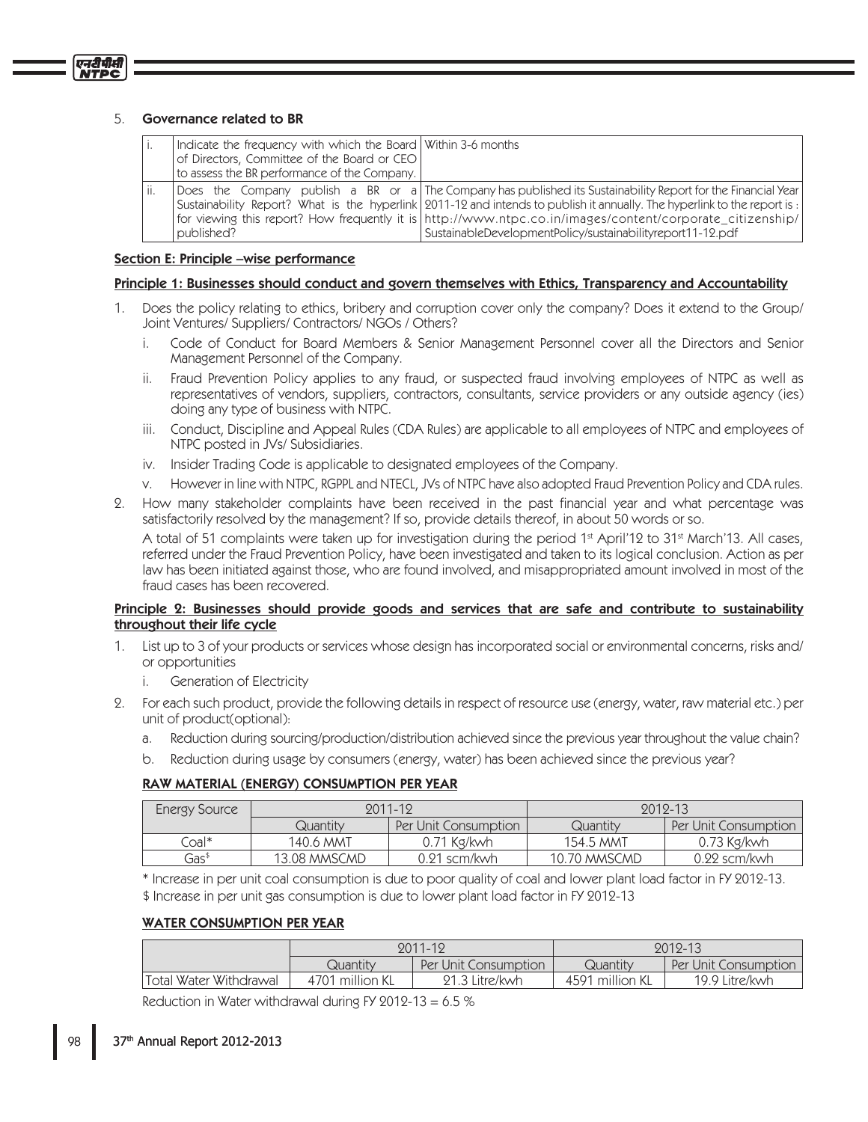एनदीपीसी

|     | Indicate the frequency with which the Board Within 3-6 months<br>of Directors, Committee of the Board or CEO<br>to assess the BR performance of the Company. |                                                                                                                                                                                                                                                                                                                                                                                                                      |
|-----|--------------------------------------------------------------------------------------------------------------------------------------------------------------|----------------------------------------------------------------------------------------------------------------------------------------------------------------------------------------------------------------------------------------------------------------------------------------------------------------------------------------------------------------------------------------------------------------------|
| ii. | published?                                                                                                                                                   | Does the Company publish a BR or a The Company has published its Sustainability Report for the Financial Year<br>Sustainability Report? What is the hyperlink 2011-12 and intends to publish it annually. The hyperlink to the report is:<br>for viewing this report? How frequently it is http://www.ntpc.co.in/images/content/corporate_citizenship/<br>SustainableDevelopmentPolicy/sustainabilityreport11-12.pdf |

## Section E: Principle –wise performance

#### Principle 1: Businesses should conduct and govern themselves with Ethics, Transparency and Accountability

- 1. Does the policy relating to ethics, bribery and corruption cover only the company? Does it extend to the Group/ Joint Ventures/Suppliers/Contractors/NGOs/Others?
	- i. Code of Conduct for Board Members & Senior Management Personnel cover all the Directors and Senior Management Personnel of the Company.
	- ii. Fraud Prevention Policy applies to any fraud, or suspected fraud involving employees of NTPC as well as representatives of vendors, suppliers, contractors, consultants, service providers or any outside agency (ies) doing any type of business with NTPC.
- iii. Conduct, Discipline and Appeal Rules (CDA Rules) are applicable to all employees of NTPC and employees of NTPC posted in JVs/ Subsidiaries.
	- iv. Insider Trading Code is applicable to designated employees of the Company.
	- v. However in line with NTPC, RGPPL and NTECL, JVs of NTPC have also adopted Fraud Prevention Policy and CDA rules.
- 2. How many stakeholder complaints have been received in the past financial year and what percentage was satisfactorily resolved by the management? If so, provide details thereof, in about 50 words or so.

A total of 51 complaints were taken up for investigation during the period  $1<sup>st</sup>$  April'12 to 31<sup>st</sup> March'13. All cases, referred under the Fraud Prevention Policy, have been investigated and taken to its logical conclusion. Action as per law has been initiated against those, who are found involved, and misappropriated amount involved in most of the fraud cases has been recovered.

#### Principle 2: Businesses should provide goods and services that are safe and contribute to sustainability throughout their life cycle

- List up to 3 of your products or services whose design has incorporated social or environmental concerns, risks and/ or opportunities
	- i. Generation of Electricity
- 2. For each such product, provide the following details in respect of resource use (energy, water, raw material etc.) per unit of product(optional):
	- a. Reduction during sourcing/production/distribution achieved since the previous year throughout the value chain?
- b. Reduction during usage by consumers (energy, water) has been achieved since the previous year?

## RAW MATERIAL (ENERGY) CONSUMPTION PER YEAR

| Energy Source | 2011-12      |                      | 2012-13      |                      |  |
|---------------|--------------|----------------------|--------------|----------------------|--|
|               | Quantity     | Per Unit Consumption | Quantity     | Per Unit Consumption |  |
| Coal*         | 140.6 MMT    | $0.71$ Kg/kwh        | 154.5 MMT    | $0.73$ Kg/kwh        |  |
| Gas‡          | 13.08 MMSCMD | $0.21$ scm/kwh       | 10.70 MMSCMD | 0.22 scm/kwh         |  |

\* Increase in per unit coal consumption is due to poor quality of coal and lower plant load factor in FY 2012-13. \$ Increase in per unit gas consumption is due to lower plant load factor in FY 2012-13

## WATER CONSUMPTION PER YEAR

|                        | 9011-19         |                      | 2012-13         |                      |  |  |
|------------------------|-----------------|----------------------|-----------------|----------------------|--|--|
|                        | Quantity        | Per Unit Consumption | Quantity        | Per Unit Consumption |  |  |
| Total Water Withdrawal | 4701 million KL | 21.3 Litre/kwh       | 4591 million KL | 19.9 Litre/kwh       |  |  |

Reduction in Water withdrawal during FY 2012-13 = 6.5  $\%$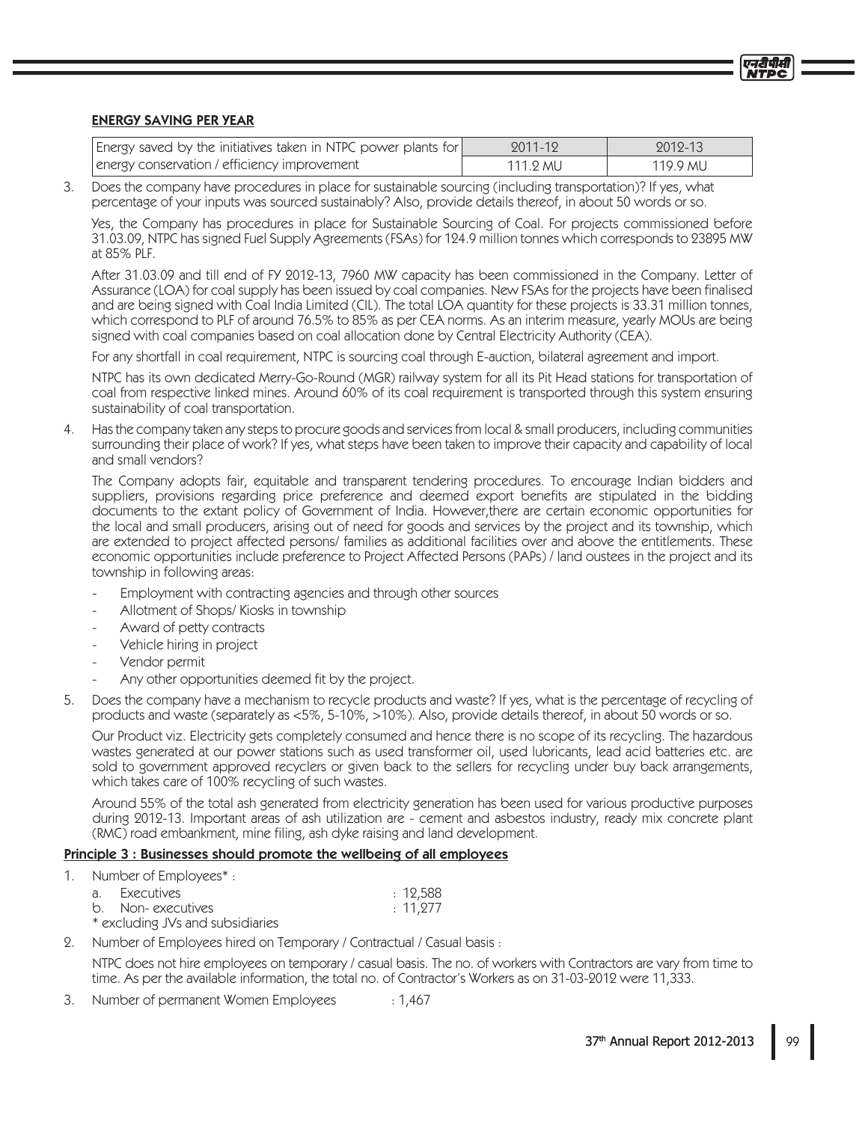## **ENERGY SAVING PER YEAR**

| Energy saved by the initiatives taken in NTPC power plants for | 2011-12  | 2012-13  |
|----------------------------------------------------------------|----------|----------|
| energy conservation / efficiency improvement                   | 111.2 MU | 119.9 MU |

Does the company have procedures in place for sustainable sourcing (including transportation)? If yes, what 3. percentage of your inputs was sourced sustainably? Also, provide details thereof, in about 50 words or so.

Yes, the Company has procedures in place for Sustainable Sourcing of Coal. For projects commissioned before 31.03.09, NTPC has signed Fuel Supply Agreements (FSAs) for 124.9 million tonnes which corresponds to 23895 MW at 85% PLF.

After 31.03.09 and till end of FY 2012-13, 7960 MW capacity has been commissioned in the Company. Letter of Assurance (LOA) for coal supply has been issued by coal companies. New FSAs for the projects have been finalised and are being signed with Coal India Limited (CIL). The total LOA quantity for these projects is 33.31 million tonnes, which correspond to PLF of around 76.5% to 85% as per CEA norms. As an interim measure, yearly MOUs are being signed with coal companies based on coal allocation done by Central Electricity Authority (CEA).

For any shortfall in coal requirement, NTPC is sourcing coal through E-auction, bilateral agreement and import.

NTPC has its own dedicated Merry-Go-Round (MGR) railway system for all its Pit Head stations for transportation of coal from respective linked mines. Around 60% of its coal requirement is transported through this system ensuring sustainability of coal transportation.

4. Has the company taken any steps to procure goods and services from local & small producers, including communities surrounding their place of work? If yes, what steps have been taken to improve their capacity and capability of local and small vendors?

The Company adopts fair, equitable and transparent tendering procedures. To encourage Indian bidders and suppliers, provisions regarding price preference and deemed export benefits are stipulated in the bidding documents to the extant policy of Government of India. However, there are certain economic opportunities for the local and small producers, arising out of need for goods and services by the project and its township, which are extended to project affected persons/families as additional facilities over and above the entitlements. These economic opportunities include preference to Project Affected Persons (PAPs) / land oustees in the project and its township in following areas:

- Employment with contracting agencies and through other sources
- Allotment of Shops/Kiosks in township
- Award of petty contracts
- Vehicle hiring in project
- Vendor permit
- Any other opportunities deemed fit by the project.
- Does the company have a mechanism to recycle products and waste? If yes, what is the percentage of recycling of 5. products and waste (separately as <5%, 5-10%, >10%). Also, provide details thereof, in about 50 words or so.

Our Product viz. Electricity gets completely consumed and hence there is no scope of its recycling. The hazardous wastes generated at our power stations such as used transformer oil, used lubricants, lead acid batteries etc. are sold to government approved recyclers or given back to the sellers for recycling under buy back arrangements, which takes care of 100% recycling of such wastes.

Around 55% of the total ash generated from electricity generation has been used for various productive purposes during 2012-13. Important areas of ash utilization are - cement and asbestos industry, ready mix concrete plant (RMC) road embankment, mine filing, ash dyke raising and land development.

# Principle 3 : Businesses should promote the wellbeing of all employees

 $\mathbf{1}$ Number of Employees\*:

| а. | Executives                       | : 12,588 |
|----|----------------------------------|----------|
|    | b. Non-executives                | : 11,277 |
|    | * excluding JVs and subsidiaries |          |

Number of Employees hired on Temporary / Contractual / Casual basis : 2.

NTPC does not hire employees on temporary / casual basis. The no. of workers with Contractors are vary from time to time. As per the available information, the total no. of Contractor's Workers as on 31-03-2012 were 11,333.

Number of permanent Women Employees 3.  $: 1,467$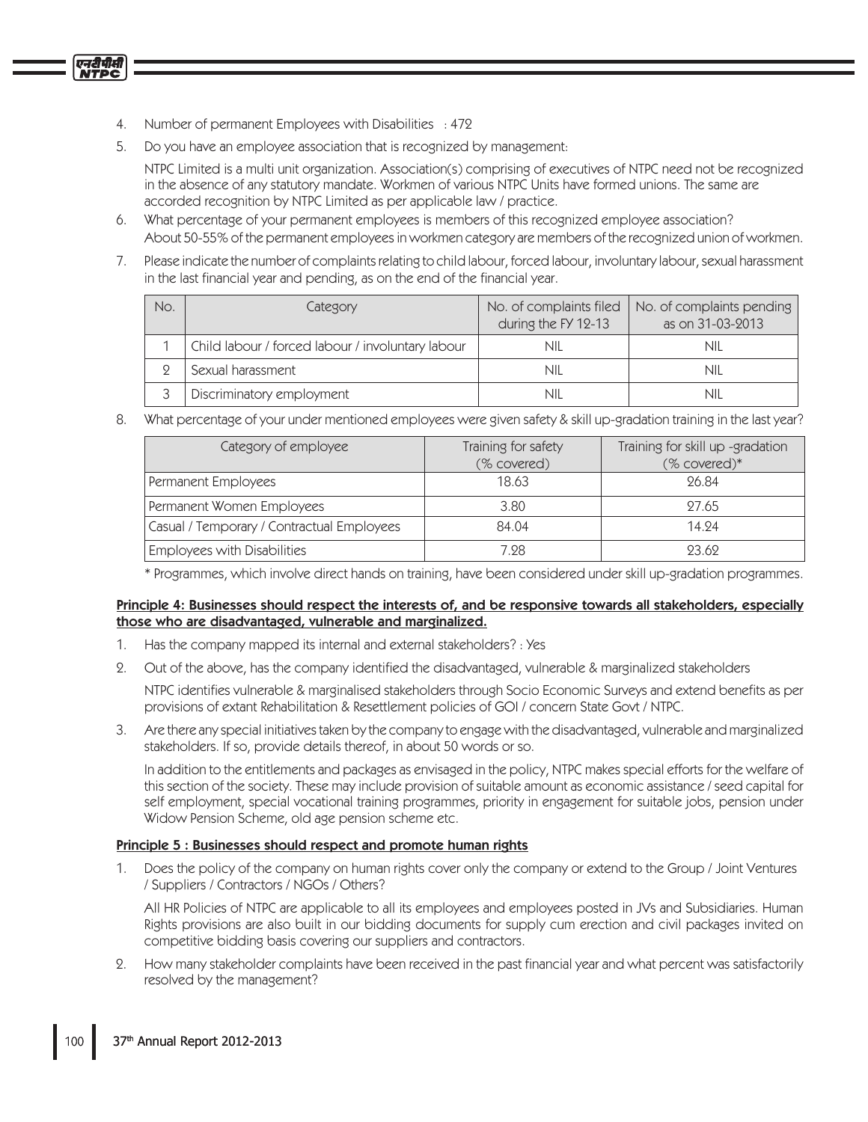4. Number of permanent Employees with Disabilities : 472

एनदीपीसी

5. Do you have an employee association that is recognized by management:

NTPC Limited is a multi unit organization. Association(s) comprising of executives of NTPC need not be recognized in the absence of any statutory mandate. Workmen of various NTPC Units have formed unions. The same are accorded recognition by NTPC Limited as per applicable law / practice.

- 6. What percentage of your permanent employees is members of this recognized employee association? About 50-55% of the permanent employees in workmen category are members of the recognized union of workmen.
- 7. Please indicate the number of complaints relating to child labour, forced labour, involuntary labour, sexual harassment in the last financial year and pending, as on the end of the financial year.

| No. | Category                                          | No. of complaints filed  <br>during the FY 12-13 | No. of complaints pending<br>as on 31-03-2013 |
|-----|---------------------------------------------------|--------------------------------------------------|-----------------------------------------------|
|     | Child labour / forced labour / involuntary labour | NIL                                              | nil                                           |
|     | Sexual harassment                                 | NIL                                              | nii                                           |
|     | Discriminatory employment                         | NIL                                              | nii                                           |

What percentage of your under mentioned employees were given safety & skill up-gradation training in the last year? 8.

| Category of employee                       | Training for safety<br>(% covered) | Training for skill up -gradation<br>(% covered)* |  |
|--------------------------------------------|------------------------------------|--------------------------------------------------|--|
| Permanent Employees                        | 18.63                              | 96.84                                            |  |
| Permanent Women Employees                  | 3.80                               | 27.65                                            |  |
| Casual / Temporary / Contractual Employees | 84.04                              | 14.94                                            |  |
| <b>Employees with Disabilities</b>         | 7.28                               | 93.69                                            |  |

\* Programmes, which involve direct hands on training, have been considered under skill up-gradation programmes.

## Principle 4: Businesses should respect the interests of, and be responsive towards all stakeholders, especially those who are disadvantaged, vulnerable and marginalized.

- Has the company mapped its internal and external stakeholders? : Yes  $1.$
- Out of the above, has the company identified the disadvantaged, vulnerable & marginalized stakeholders  $2.$

NTPC identifies vulnerable & marginalised stakeholders through Socio Economic Surveys and extend benefits as per provisions of extant Rehabilitation & Resettlement policies of GOI / concern State Govt / NTPC.

3. Are there any special initiatives taken by the company to engage with the disadvantaged, vulnerable and marginalized stakeholders. If so, provide details thereof, in about 50 words or so.

In addition to the entitlements and packages as envisaged in the policy, NTPC makes special efforts for the welfare of this section of the society. These may include provision of suitable amount as economic assistance / seed capital for self employment, special vocational training programmes, priority in engagement for suitable jobs, pension under Widow Pension Scheme, old age pension scheme etc.

# Principle 5 : Businesses should respect and promote human rights

1. Does the policy of the company on human rights cover only the company or extend to the Group / Joint Ventures / Suppliers / Contractors / NGOs / Others?

All HR Policies of NTPC are applicable to all its employees and employees posted in JVs and Subsidiaries. Human Rights provisions are also built in our bidding documents for supply cum erection and civil packages invited on competitive bidding basis covering our suppliers and contractors.

2. How many stakeholder complaints have been received in the past financial year and what percent was satisfactorily resolved by the management?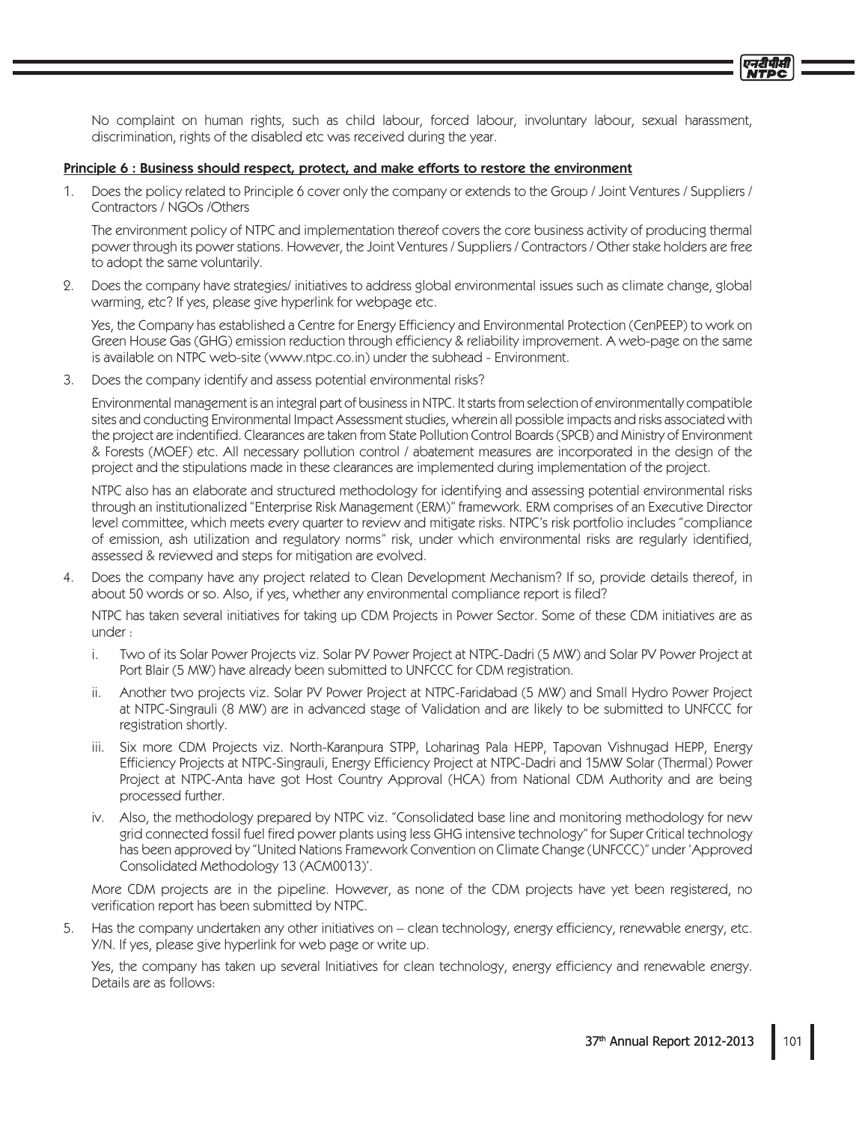No complaint on human rights, such as child labour, forced labour, involuntary labour, sexual harassment, discrimination, rights of the disabled etc was received during the year.

#### Principle 6 : Business should respect, protect, and make efforts to restore the environment

1. Does the policy related to Principle 6 cover only the company or extends to the Group / Joint Ventures / Suppliers / Contractors / NGOs / Others

The environment policy of NTPC and implementation thereof covers the core business activity of producing thermal power through its power stations. However, the Joint Ventures / Suppliers / Contractors / Other stake holders are free to adopt the same voluntarily.

2. Does the company have strategies/initiatives to address global environmental issues such as climate change, global warming, etc? If yes, please give hyperlink for webpage etc.

Yes, the Company has established a Centre for Energy Efficiency and Environmental Protection (CenPEEP) to work on Green House Gas (GHG) emission reduction through efficiency & reliability improvement. A web-page on the same is available on NTPC web-site (www.ntpc.co.in) under the subhead - Environment.

3. Does the company identify and assess potential environmental risks?

Environmental management is an integral part of business in NTPC. It starts from selection of environmentally compatible sites and conducting Environmental Impact Assessment studies, wherein all possible impacts and risks associated with the project are indentified. Clearances are taken from State Pollution Control Boards (SPCB) and Ministry of Environment & Forests (MOEF) etc. All necessary pollution control / abatement measures are incorporated in the design of the project and the stipulations made in these clearances are implemented during implementation of the project.

NTPC also has an elaborate and structured methodology for identifying and assessing potential environmental risks through an institutionalized "Enterprise Risk Management (ERM)" framework. ERM comprises of an Executive Director level committee, which meets every quarter to review and mitigate risks. NTPC's risk portfolio includes "compliance" of emission, ash utilization and regulatory norms" risk, under which environmental risks are regularly identified, assessed & reviewed and steps for mitigation are evolved.

4. Does the company have any project related to Clean Development Mechanism? If so, provide details thereof, in about 50 words or so. Also, if yes, whether any environmental compliance report is filed?

NTPC has taken several initiatives for taking up CDM Projects in Power Sector. Some of these CDM initiatives are as under:

- i. Two of its Solar Power Projects viz. Solar PV Power Project at NTPC-Dadri (5 MW) and Solar PV Power Project at Port Blair (5 MW) have already been submitted to UNFCCC for CDM registration.
- ii. Another two projects viz. Solar PV Power Project at NTPC-Faridabad (5 MW) and Small Hydro Power Project at NTPC-Singrauli (8 MW) are in advanced stage of Validation and are likely to be submitted to UNFCCC for registration shortly.
	- iii. Six more CDM Projects viz. North-Karanpura STPP, Loharinag Pala HEPP, Tapovan Vishnugad HEPP, Energy Efficiency Projects at NTPC-Singrauli, Energy Efficiency Project at NTPC-Dadri and 15MW Solar (Thermal) Power Project at NTPC-Anta have got Host Country Approval (HCA) from National CDM Authority and are being processed further.
	- iv. Also, the methodology prepared by NTPC viz. "Consolidated base line and monitoring methodology for new grid connected fossil fuel fired power plants using less GHG intensive technology" for Super Critical technology has been approved by "United Nations Framework Convention on Climate Change (UNFCCC)" under 'Approved Consolidated Methodology 13 (ACM0013)'.

More CDM projects are in the pipeline. However, as none of the CDM projects have yet been registered, no verification report has been submitted by NTPC.

5. Has the company undertaken any other initiatives on - clean technology, energy efficiency, renewable energy, etc. Y/N. If yes, please give hyperlink for web page or write up.

Yes, the company has taken up several Initiatives for clean technology, energy efficiency and renewable energy. Details are as follows: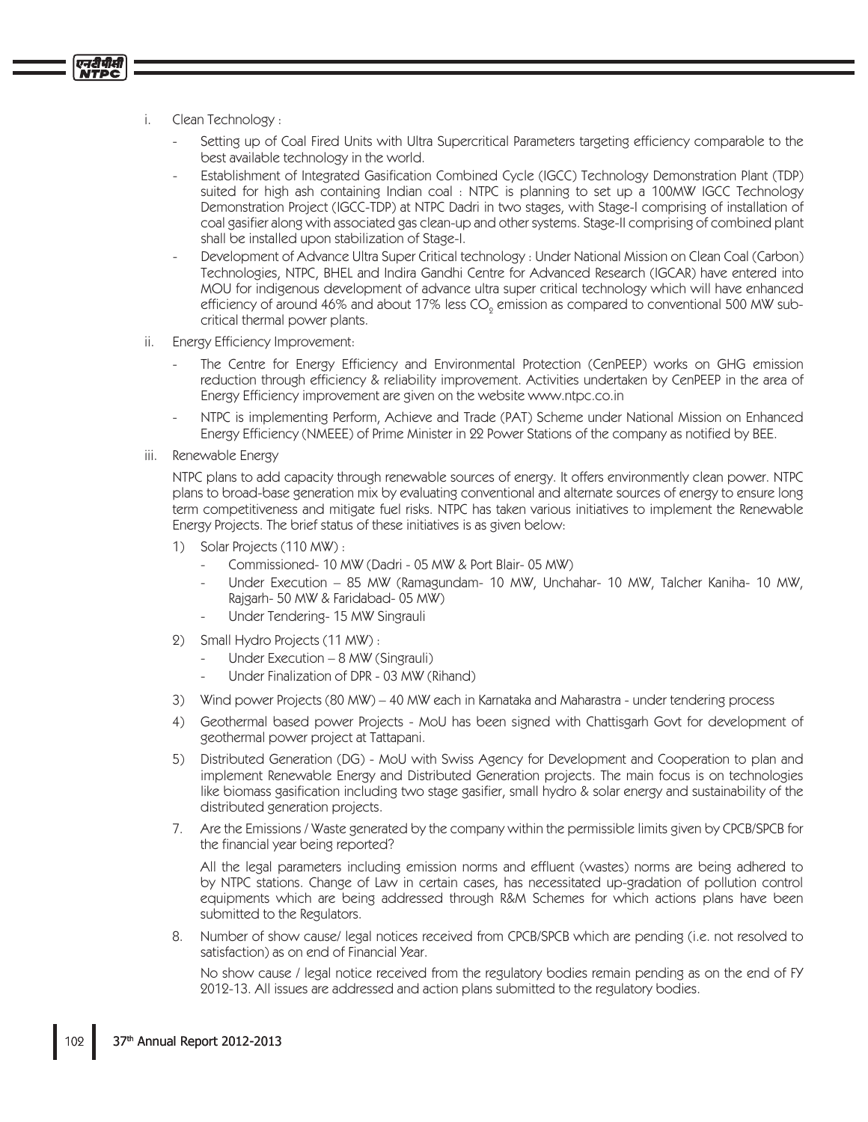Clean Technology: i.

एनदीपीसी

- Setting up of Coal Fired Units with Ultra Supercritical Parameters targeting efficiency comparable to the best available technology in the world.
- Establishment of Integrated Gasification Combined Cycle (IGCC) Technology Demonstration Plant (TDP) suited for high ash containing Indian coal: NTPC is planning to set up a 100MW IGCC Technology Demonstration Project (IGCC-TDP) at NTPC Dadri in two stages, with Stage-I comprising of installation of coal gasifier along with associated gas clean-up and other systems. Stage-II comprising of combined plant shall be installed upon stabilization of Stage-I.
- Development of Advance Ultra Super Critical technology : Under National Mission on Clean Coal (Carbon) Technologies, NTPC, BHEL and Indira Gandhi Centre for Advanced Research (IGCAR) have entered into MOU for indigenous development of advance ultra super critical technology which will have enhanced efficiency of around 46% and about 17% less CO<sub>s</sub> emission as compared to conventional 500 MW subcritical thermal power plants.
- Energy Efficiency Improvement: ii.
	- The Centre for Energy Efficiency and Environmental Protection (CenPEEP) works on GHG emission reduction through efficiency & reliability improvement. Activities undertaken by CenPEEP in the area of Energy Efficiency improvement are given on the website www.ntpc.co.in
	- NTPC is implementing Perform, Achieve and Trade (PAT) Scheme under National Mission on Enhanced Energy Efficiency (NMEEE) of Prime Minister in 22 Power Stations of the company as notified by BEE.
- Renewable Energy iii.

NTPC plans to add capacity through renewable sources of energy. It offers environmently clean power. NTPC plans to broad-base generation mix by evaluating conventional and alternate sources of energy to ensure long term competitiveness and mitigate fuel risks. NTPC has taken various initiatives to implement the Renewable Energy Projects. The brief status of these initiatives is as given below:

- 1) Solar Projects (110 MW):
	- Commissioned-10 MW (Dadri 05 MW & Port Blair-05 MW)
	- Under Execution 85 MW (Ramagundam- 10 MW, Unchahar- 10 MW, Talcher Kaniha- 10 MW, Rajgarh- 50 MW & Faridabad- 05 MW)
	- Under Tendering- 15 MW Singrauli
- 2) Small Hydro Projects (11 MW):
	- Under Execution 8 MW (Singrauli)
	- Under Finalization of DPR 03 MW (Rihand)
- $\mathcal{E}$ Wind power Projects (80 MW) - 40 MW each in Karnataka and Maharastra - under tendering process
- 4) Geothermal based power Projects MoU has been signed with Chattisgarh Govt for development of geothermal power project at Tattapani.
- Distributed Generation (DG) MoU with Swiss Agency for Development and Cooperation to plan and  $5)$ implement Renewable Energy and Distributed Generation projects. The main focus is on technologies like biomass gasification including two stage gasifier, small hydro & solar energy and sustainability of the distributed generation projects.
- 7. Are the Emissions / Waste generated by the company within the permissible limits given by CPCB/SPCB for the financial year being reported?

All the legal parameters including emission norms and effluent (wastes) norms are being adhered to by NTPC stations. Change of Law in certain cases, has necessitated up-gradation of pollution control equipments which are being addressed through R&M Schemes for which actions plans have been submitted to the Regulators.

Number of show cause/legal notices received from CPCB/SPCB which are pending (i.e. not resolved to 8. satisfaction) as on end of Financial Year.

No show cause / legal notice received from the regulatory bodies remain pending as on the end of FY 2012-13. All issues are addressed and action plans submitted to the regulatory bodies.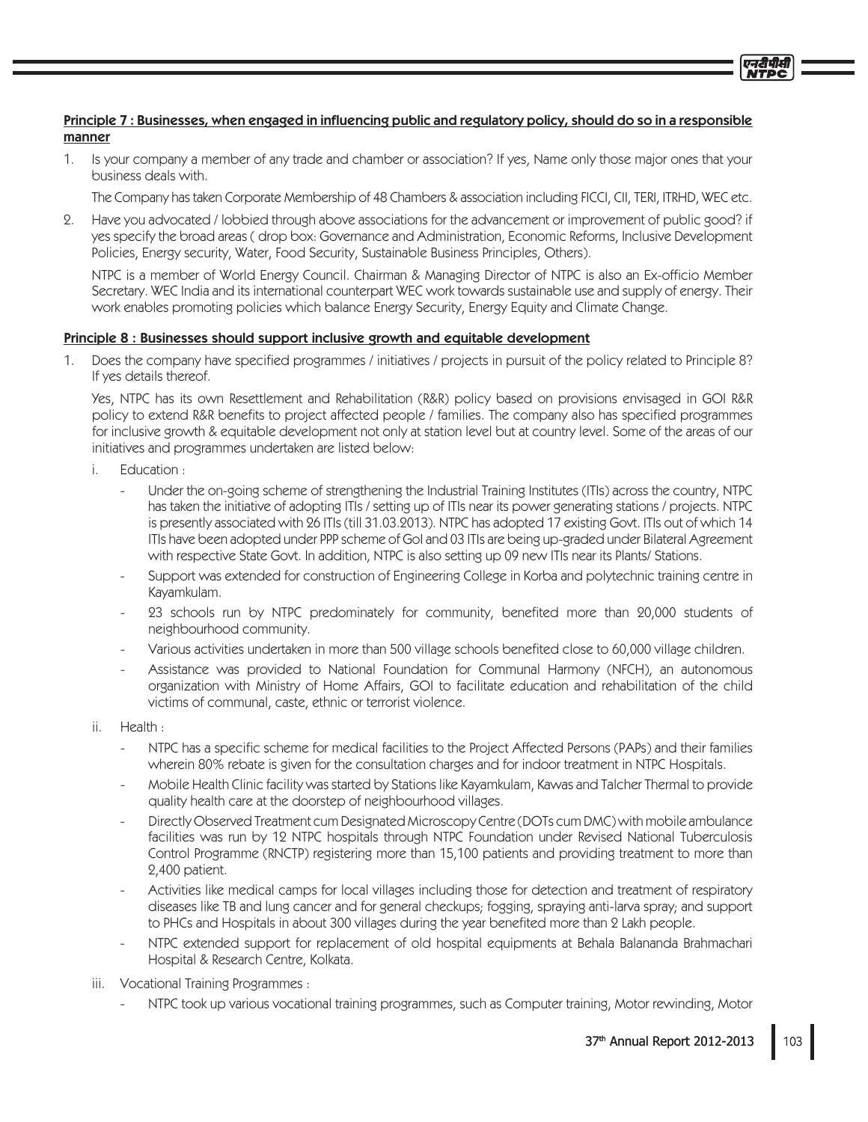# Principle 7: Businesses, when engaged in influencing public and regulatory policy, should do so in a responsible manner

 $1<sup>1</sup>$ Is your company a member of any trade and chamber or association? If yes, Name only those major ones that your business deals with.

The Company has taken Corporate Membership of 48 Chambers & association including FICCI, CII, TERI, ITRHD, WEC etc.

Have you advocated / lobbied through above associations for the advancement or improvement of public good? if  $2.$ yes specify the broad areas (drop box: Governance and Administration, Economic Reforms, Inclusive Development Policies, Energy security, Water, Food Security, Sustainable Business Principles, Others).

NTPC is a member of World Energy Council. Chairman & Managing Director of NTPC is also an Ex-officio Member Secretary. WEC India and its international counterpart WEC work towards sustainable use and supply of energy. Their work enables promoting policies which balance Energy Security, Energy Equity and Climate Change.

## Principle 8 : Businesses should support inclusive growth and equitable development

1. Does the company have specified programmes / initiatives / projects in pursuit of the policy related to Principle 8? If yes details thereof.

Yes, NTPC has its own Resettlement and Rehabilitation (R&R) policy based on provisions envisaged in GOI R&R policy to extend R&R benefits to project affected people / families. The company also has specified programmes for inclusive growth & equitable development not only at station level but at country level. Some of the areas of our initiatives and programmes undertaken are listed below:

- i. Education:
	- Under the on-going scheme of strengthening the Industrial Training Institutes (ITIs) across the country, NTPC has taken the initiative of adopting ITIs / setting up of ITIs near its power generating stations / projects. NTPC is presently associated with 26 ITIs (till 31.03.2013). NTPC has adopted 17 existing Govt. ITIs out of which 14 ITIs have been adopted under PPP scheme of GoI and 03 ITIs are being up-graded under Bilateral Agreement with respective State Govt. In addition, NTPC is also setting up 09 new ITIs near its Plants/ Stations.
	- Support was extended for construction of Engineering College in Korba and polytechnic training centre in Kayamkulam.
	- 23 schools run by NTPC predominately for community, benefited more than 20,000 students of neighbourhood community.
	- Various activities undertaken in more than 500 village schools benefited close to 60,000 village children.
	- Assistance was provided to National Foundation for Communal Harmony (NFCH), an autonomous organization with Ministry of Home Affairs, GOI to facilitate education and rehabilitation of the child victims of communal, caste, ethnic or terrorist violence.
- ii. Health:
	- NTPC has a specific scheme for medical facilities to the Project Affected Persons (PAPs) and their families wherein 80% rebate is given for the consultation charges and for indoor treatment in NTPC Hospitals.
	- Mobile Health Clinic facility was started by Stations like Kayamkulam, Kawas and Talcher Thermal to provide quality health care at the doorstep of neighbourhood villages.
	- Directly Observed Treatment cum Designated Microscopy Centre (DOTs cum DMC) with mobile ambulance facilities was run by 12 NTPC hospitals through NTPC Foundation under Revised National Tuberculosis Control Programme (RNCTP) registering more than 15,100 patients and providing treatment to more than 2,400 patient.
	- Activities like medical camps for local villages including those for detection and treatment of respiratory diseases like TB and lung cancer and for general checkups; fogging, spraying anti-larva spray; and support to PHCs and Hospitals in about 300 villages during the year benefited more than 2 Lakh people.
	- NTPC extended support for replacement of old hospital equipments at Behala Balananda Brahmachari Hospital & Research Centre, Kolkata.
- iii. Vocational Training Programmes:
	- NTPC took up various vocational training programmes, such as Computer training, Motor rewinding, Motor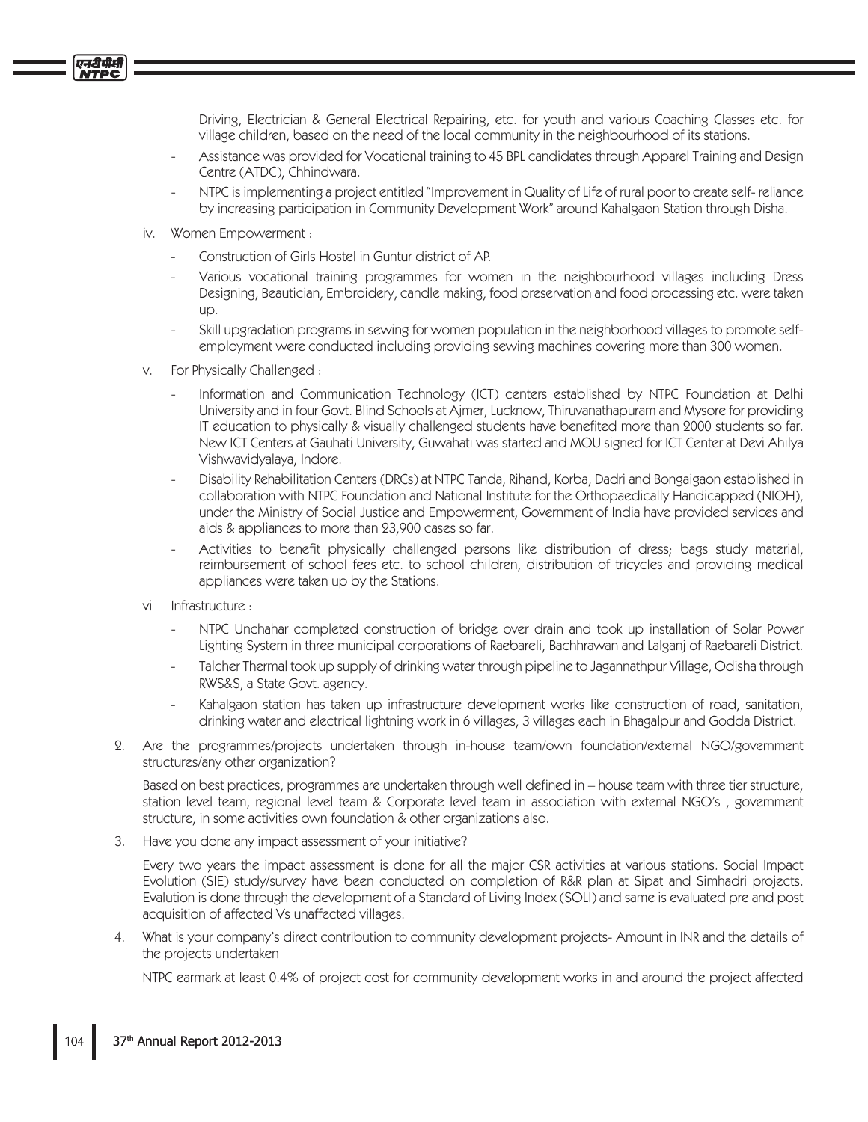Driving, Electrician & General Electrical Repairing, etc. for youth and various Coaching Classes etc. for village children, based on the need of the local community in the neighbourhood of its stations.

- Assistance was provided for Vocational training to 45 BPL candidates through Apparel Training and Design Centre (ATDC), Chhindwara.
- NTPC is implementing a project entitled "Improvement in Quality of Life of rural poor to create self-reliance by increasing participation in Community Development Work" around Kahalgaon Station through Disha.
- iv. Women Empowerment :

एनदीपीसी

- Construction of Girls Hostel in Guntur district of AP.
- Various vocational training programmes for women in the neighbourhood villages including Dress Designing, Beautician, Embroidery, candle making, food preservation and food processing etc. were taken up.
- Skill upgradation programs in sewing for women population in the neighborhood villages to promote selfemployment were conducted including providing sewing machines covering more than 300 women.
- V. For Physically Challenged:
	- Information and Communication Technology (ICT) centers established by NTPC Foundation at Delhi University and in four Govt. Blind Schools at Ajmer, Lucknow, Thiruvanathapuram and Mysore for providing IT education to physically & visually challenged students have benefited more than 2000 students so far. New ICT Centers at Gauhati University, Guwahati was started and MOU signed for ICT Center at Devi Ahilya Vishwavidyalaya, Indore.
	- Disability Rehabilitation Centers (DRCs) at NTPC Tanda, Rihand, Korba, Dadri and Bongaigaon established in collaboration with NTPC Foundation and National Institute for the Orthopaedically Handicapped (NIOH), under the Ministry of Social Justice and Empowerment, Government of India have provided services and aids & appliances to more than 23,900 cases so far.
	- Activities to benefit physically challenged persons like distribution of dress; bags study material, reimbursement of school fees etc. to school children, distribution of tricycles and providing medical appliances were taken up by the Stations.
- Infrastructure: vi
	- NTPC Unchahar completed construction of bridge over drain and took up installation of Solar Power Lighting System in three municipal corporations of Raebareli, Bachhrawan and Lalganj of Raebareli District.
	- Talcher Thermal took up supply of drinking water through pipeline to Jagannathpur Village, Odisha through RWS&S, a State Govt. agency.
	- Kahalgaon station has taken up infrastructure development works like construction of road, sanitation, drinking water and electrical lightning work in 6 villages, 3 villages each in Bhagalpur and Godda District.
- 2. Are the programmes/projects undertaken through in-house team/own foundation/external NGO/government structures/any other organization?

Based on best practices, programmes are undertaken through well defined in - house team with three tier structure, station level team, regional level team & Corporate level team in association with external NGO's, government structure, in some activities own foundation & other organizations also.

3. Have you done any impact assessment of your initiative?

Every two years the impact assessment is done for all the major CSR activities at various stations. Social Impact Evolution (SIE) study/survey have been conducted on completion of R&R plan at Sipat and Simhadri projects. Evalution is done through the development of a Standard of Living Index (SOLI) and same is evaluated pre and post acquisition of affected Vs unaffected villages.

4. What is your company's direct contribution to community development projects-Amount in INR and the details of the projects undertaken

NTPC earmark at least 0.4% of project cost for community development works in and around the project affected